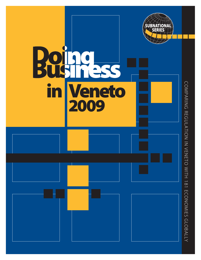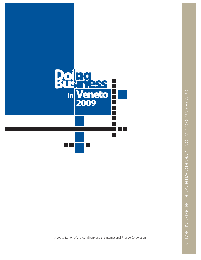

A copublication of the World Bank and the International Finance Corporation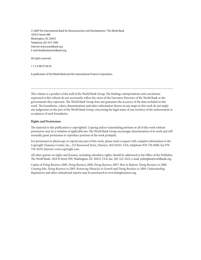© 2009 The International Bank for Reconstruction and Development / The World Bank 1818 H Street NW Washington, DC 20433 Telephone 202-473-1000 Internet www.worldbank.org E-mail feedback@worldbank.org

All rights reserved.

1 2 3 4 08 07 06 05

A publication of the World Bank and the International Finance Corporation.

This volume is a product of the staff of the World Bank Group. The findings, interpretations and conclusions expressed in this volume do not necessarily reflect the views of the Executive Directors of the World Bank or the governments they represent. The World Bank Group does not guarantee the accuracy of the data included in this work. The boundaries, colors, denominations and other information shown on any maps in this work do not imply any judgement on the part of the World Bank Group concerning the legal status of any territory of the endorsement or acceptance of such boundaries.

#### **Rights and Permissions**

The material in this publication is copyrighted. Copying and/or transmitting portions or all of this work without permission may be a violation of applicable law. The World Bank Group encourages dissemination of its work and will normally grant permission to reproduce portions of the work promptly.

For permission to photocopy or reprint any part of this work, please send a request with complete information to the Copyright Clearance Center, Inc., 222 Rosewood Drive, Danvers, MA 01923, USA; telephone 978-750-8400; fax 978- 750-4470; Internet: www.copyright.com.

All other queries on rights and licenses, including subsidiary rights, should be addressed to the Office of the Publisher, The World Bank, 1818 H Street NW, Washington, DC 20433, USA; fax: 202-522-2422; e-mail: pubrights@worldbank.org.

Copies of *Doing Business 2009, Doing Business 2008, Doing Business 2007: How to Reform, Doing Business in 2006: Creating Jobs, Doing Business in 2005: Removing Obstacles to Growth* and *Doing Business in 2004: Understanding Regulations* and other subnational reports may be purchased at www.doingbusiness.org.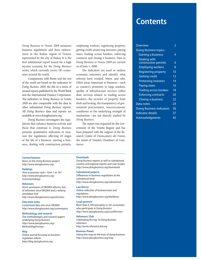*Doing Business in Veneto 2009* measures business regulations and their enforcement in the Italian region of Veneto, represented by the city of Padua. It is the first subnational report issued for a high income economy for the *Doing Business*  series, which currently covers 181 economies around the world.

Comparisons with Rome and the rest of the world are based on the indicators in *Doing Business 2009*, the 6th in a series of annual reports published by the World Bank and the International Finance Corporation. The indicators in *Doing Business in Veneto 2009* are also comparable with the data in other subnational *Doing Business* reports. All *Doing Business* data and reports are available at www.doingbusiness.org.

*Doing Business* investigates the regulations that enhance business activity and those that constrain it. *Doing Business*  presents quantitative indicators to measure the regulations affecting 10 stages of the life of a business: starting a business, dealing with construction permits, employing workers, registering property, getting credit, protecting investors, paying taxes, trading across borders, enforcing contracts and closing a business. Data in *Doing Business in Veneto 2009* are current as of June 1, 2008.

The indicators are used to analyze economic outcomes and identify what reforms have worked, where and why. Other areas important to business—such as country's proximity to large markets, quality of infrastructure services (other than services related to trading across borders), the security of property from theft and looting, the transparency of government procurement, macroeconomic conditions or the underlying strength of institutions—are not directly studied by *Doing Business*.

The report was requested by the Government of the Veneto Region and has been prepared with the support of the Research Centre of *Unioncamere del Veneto*, the union of Veneto's Chambers of Commerce.

## **Contents**

| Overview                             | 2               |
|--------------------------------------|-----------------|
| <b>Doing Business topics</b>         |                 |
| <b>Starting a business</b>           | 4               |
| Dealing with<br>construction permits | 6               |
| <b>Employing workers</b>             | 8               |
| <b>Registering property</b>          | 10              |
| <b>Getting credit</b>                | 12              |
| <b>Protecting investors</b>          | $1\overline{4}$ |
| <b>Paying taxes</b>                  | 16              |
| <b>Trading across borders</b>        | 18              |
| <b>Enforcing contracts</b>           | 20              |
| Closing a business                   | 22              |
| Data notes                           | 24              |
| <b>Doing Business indicators</b>     | 36              |
| <b>Indicator details</b>             | 37              |
| Acknowledgments                      | 45              |

#### **Current features**

News on the Doing Business project http://www.doingbusiness.org

#### **Rankings**

How economies rank—from 1 to 181 http://www.doingbusiness.org/ economyrankings

#### **Reformers**

Short summaries of DB2009 reforms, lists of reformers since DB2004 and a ranking simulation tool http://www.doingbusiness.org/reformers

#### **Data time series**

Customized data sets since DB2004 http://www.doingbusiness.org/customquery

#### **Methodology and research**

The methodologies and research papers underlying Doing Business http://www.doingbusiness.org/ MethodologySurveys

#### **Blog**

Online journal focusing on business regulation reform http://blog.doingbusiness.org

#### **Downloads**

Doing Business reports as well as subnational, country and regional reports and case studies http://www.doingbusiness.org/downloads

#### **Subnational projects**

Differences in business regulations at the subnational level http://www.doingbusiness.org/subnational

#### **Law library**

Online collection of business laws and regulations http://www.doingbusiness.org/lawlibrary

#### **Local partners**

More than 6,700 specialists in 181 economies who participate in Doing Business http://www.doingbusiness.org/LocalPartners

#### **Reformers' Club**

Celebrating the top 10 Doing Business reformers http://www.reformersclub.org

#### **Business Planet**

Interactive map on the ease of doing business http://www.doingbusiness.org/map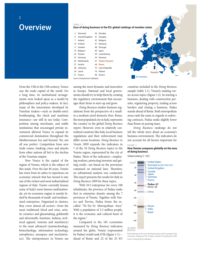**OVEIVIEW** Ease of doing business in the EU: global rankings of member states

| 5  | Denmark        |    | 36 Slovakia       |
|----|----------------|----|-------------------|
| 6  | United Kingdom | 41 | Hungary           |
| 7  | Ireland        | 45 | Bulgaria          |
|    | 14 Finland     | 47 | Romania           |
|    | 17 Sweden      | 48 | Portugal          |
|    | 19 Belgium     |    | 49 Spain          |
|    | 22 Estonia     | 50 | Luxembourg        |
|    | 25 Germany     |    | 54 Slovenia       |
|    | 26 Netherlands |    | 67 Padua (Veneto) |
|    | 27 Austria     |    | 68 Rome           |
|    | 28 Lithuania   |    | 75 Czech Republic |
|    | 29 Latvia      | 76 | Poland            |
| 31 | France         |    | 96 Greece         |
|    |                |    |                   |

Source: Doing Business database.

From the 13th to the 15th century, Venice was the trade capital of the world. For a long time, its institutional arrangements were looked upon as a model by philosophers and policy-makers. In fact, many of the innovations developed by Venetian traders—such as double-entry bookkeeping, the check and maritime insurance—are still in use today. Competition among merchants, and stable institutions that encouraged private investment allowed Venice to expand its commercial domination throughout the Mediterranean Sea and beyond. Yet, not all was perfect. Competition from new trade routes, banking crises and attacks from other nations all led to the decline of the Venetian empire.

Now Venice is the capital of the region of Veneto, which is the subject of this study. Over the last 40 years, Veneto has risen from its ashes to experience an economic miracle that has turned it into one of the richest and most industrialized regions of Italy. Veneto currently houses some of Italy's most famous multinationals, yet its economic engine is mainly fueled by thousands of small- and mediumsized enterprises. Organized in clusters, they cover almost all sectors—from the most traditional (food and wine, artistic ceramics and glassmaking, goldsmith and silversmith, furniture, fashion, technical apparel, tourism and machinery) to the most advanced (nanotechnology, biotechnology, information technology, astrophysics, aerospace and mechatronics). The entrepreneurs in Veneto are

among the most dynamic and innovative in Europe. National and local governments should try to help them by creating the regulatory environment that encourages their firms to start-up and grow.

*Doing Business* studies business regulations from the perspective of a smallto a medium-sized domestic firm. Rome, the most populated city in Italy, represents the country in the global *Doing Business* report. However, even in relatively centralized countries like Italy, local business regulations and their enforcement may differ across locations. *Doing Business in Veneto 2009* expands the indicators in 7 of the 10 *Doing Business* topics to the Veneto region, represented by the city of Padua. Three of the indicators—employing workers, protecting investors and getting credit—are based on the provisions contained on national laws. Therefore, no subnational analysis was conducted. This report presents the results for Italy in *Doing Business 2009* for these topics.

With 10.3 enterprises for every 100 inhabitants, the province of Padua ranks first in enterprise density among the 7 provinces of Veneto. Together with Venice and Treviso, Padua forms the socalled "Pa-Tre-Ve Metropolitan Area." With a population of 2.5 million people, it is the economic and cultural heart of the region. $<sup>1</sup>$ </sup>

Compared to the 181 economies measured by *Doing Business* indicators around the globe, Veneto (represented by Padua) would rank 67th (figure 1.1) ahead of Rome and 22 of the 25 EU

countries included in the *Doing Business* sample (table 1.1). Veneto's ranking varies across topics (figure 1.2). In starting a business, dealing with construction permits, registering property, trading across borders and closing a business, Padua stands ahead of Rome. Both metropolitan areas rank the same in regards to enforcing contracts. Padua ranks slightly lower than Rome on paying taxes.

**Veneto**

EU members

*Doing Business* rankings do not tell the whole story about an economy's business environment. The indicators do not account for all factors important for FIGURE 1.1

**How Veneto compares globally on the ease of doing business** 

Global ranking (1–181)



Source: Doing Business database. Note: Rankings on the ease of doing business are the average of the economy's rankings on the 10 topics covered in Doing Business 2009.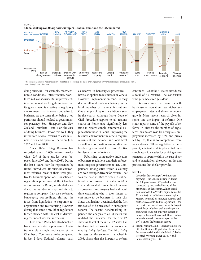**26**

HONG KONG





\* No subnational analysis was conducted for these topics. The rankings are based on Doing Business 2009 and are the same for Padua and Rome. Source: Doing Business database.

doing business—for example, macroeconomic conditions, infrastructure, workforce skills or security. But improvements in an economy's ranking do indicate that its government is creating a regulatory environment that is more conducive to business. At the same time, being a top performer should not lead to government complacency. Both Singapore and New Zealand—numbers 1 and 2 on the ease of doing business—know this well. They introduced several reforms to ease business entry and operation between June 2007 and June 2008.

Since 2004, *Doing Business* has recorded almost 1,000 reforms worldwide—239 of those just last year (between June 2007 and June 2008). During the last 6 years, Italy (as represented by Rome) introduced 10 business environment reforms. Most of them were positive for business operations. Consolidated registration procedures at the Chamber of Commerce in Rome, substantially reduced the number of steps and time to register a company. Italy also reformed bankruptcy proceedings, shifting the focus from liquidation to corporate reorganization and restructuring. However, during that same time, labor regulations turned stricter, with the cost of dismissing redundant workers increasing.

Like Rome, Padua has also benefited from business start-up reforms. Registrations via a single notification at the Chamber of Commerce can be completed in just 2 days. National reforms—such

as reforms to bankruptcy procedures have also applied to businesses in Veneto. However, implementation tends to vary due to different levels of efficiency in the local branches of national institutions. One example of regional variation is seen in the courts. Although Italy's Code of Civil Procedure applies to all regions, courts in Rome take significantly less time to resolve simple commercial disputes than those in Padua. Improving the business environment in Veneto requires reforms at the national and local level, as well as coordination among different levels of government to ensure effective implementation of reforms.

Publishing comparative indicators of business regulations and their enforcement inspires governments to act. Comparisons among cities within a country are even stronger drivers for reform. That was the case in Mexico where a subnational report covered 12 states in 2005. The study created competition to reform as governors and mayors had a difficult time explaining why it took longer or cost more to do business in their city. States that had not been included the first time asked to be measured in subsequent reports. The second benchmarking expanded the analysis to all 31 states and updated the indicators for the first 12, showing that 9 of the initial 12 states had implemented reforms in the areas covered by *Doing Business*. The third *Doing Business in Mexico* report, launched in 2008, shows that the impetus to reform

continues—28 of the 31 states introduced a total of 40 reforms. The conclusion: what gets measured gets done.

Research finds that countries with burdensome regulation have higher unemployment rates and slower economic growth. More recent research gives insights into the impact of reforms. One study reports some of the payoffs of reforms in Mexico: the number of registered businesses rose by nearly 6%, employment increased by 2.6% and prices fell by 1%, thanks to competition from new entrants.<sup>2</sup> Where regulation is transparent, efficient and implemented in a simple way, it is easier for aspiring entrepreneurs to operate within the rule of law and to benefit from the opportunities and protections that the law provides.

- 1. Located at the crossing of two important highways—the Venezia-Milano (A4) and the Bologna-Padova (A13)—Padua is well connected by road and railway to all the major cities in the country. A high-speed train connects it to Veneto's capital Venice (in 20 minutes) and to Italy's economic capital Milan (1 hour and 54 minutes). Airports and ports are accessible. Padua's logistic hub—the Interporto Intermodale—is one of the largest logistic hubs in Italy as well as an important gateway for trade not only with the rest of Europe but also with Asia and Africa. Padua's industrial zone (in the eastern part of the city) is one of the biggest in Europe.
- 2. Bruhn, Miriam. 2008. "License to Sell: The Effect of Business Registration Reform on Entrepreneurial Activity in Mexico." Policy Research Working Paper 4538, World Bank, Washington, D.C.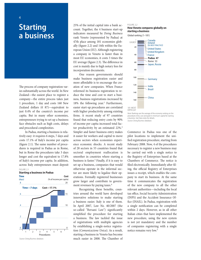# **Starting a business**

The process of company registration varies substantially across the world. In New Zealand—the easiest place to register a company—the entire process takes just 1 procedure, 1 day and costs 160 New Zealand dollars ( $\in$  87)—equivalent to just 0.4% of the country's income per capita. But in many other economies, entrepreneurs trying to set up a business face obstacles such as high costs, delays and procedural complexities.

In Padua, starting a business is relatively easy: it requires 6 steps, 7 days and costs 17.1% of Italy's income per capita (figure 2.1). The same number of procedures is required in Padua as in Rome, but in Rome the procedures take 3 days longer and cost the equivalent to 17.8% of Italy's income per capita. In addition, across Italy entrepreneurs must deposit

#### FIGURE 2.1 **Starting a business in Padua**



Source: Doing Business database

25% of the initial capital into a bank account. Together, the 4 business start-up indicators measured by *Doing Business* rank Veneto (represented by Padua) at 47th place among 181 economies globally (figure 2.2) and 14th within the European Union (EU). Although registering a company in Veneto is faster than in most EU economies, it costs 3 times the EU average (figure 2.3). The difference in cost is mainly due to high notary fees for incorporation documents.

One reason governments should make business registration easier and more affordable is to encourage the creation of new companies. When France reformed its business registration to reduce the time and cost to start a business, business registrations increased by 18% the following year.<sup>1</sup> Furthermore, easier start-up procedures are correlated with higher productivity among existing firms. A recent study of 97 countries found that reducing entry costs by 90% of income per capita increased total factor productivity by an estimated 22%.<sup>2</sup> Simpler and faster business entry makes it easier for workers and capital to move across sectors when economies experience economic shocks. A recent study of 28 sectors in 55 countries found that sectoral employment reallocation is smoother in countries where starting a business is faster.3 Finally, if it is easy to set up a business, companies that would otherwise operate in the informal sector are more likely to legalize their operations. Formally registered businesses grow larger and contribute to government revenues by paying taxes.<sup>4</sup>

Recognizing these benefits, countries around the world have developed innovative solutions to make starting a business easier. Italy is one of them. In April 2007, Law No. 40/2007 (the so-called "Bersani Law") significantly simplified the procedure for starting a business. The law tackled the issue of registrations with multiple agencies by establishing a single-notice registration (*Comunicazione Unica*). As a result, starting a business in Veneto has become much easier in 2008. The Chamber of

#### FIGURE 2.2 **How Veneto compares globally on starting a business**

Global ranking (1–181)



Source: Doing Business database. Note: Rankings are the average of the economy ranking on the procedures time, cost and paid-in minimum capital for starting a business. See Data notes for details.

Commerce in Padua was one of the pilot locations to implement the unified registration procedure, starting from February 2008. Now, 4 of the procedures necessary to register a new business may be carried out with a single notice to the Registry of Enterprises based at the Chambers of Commerce. The notice is filed electronically. Immediately after filing, the official Registry of Enterprises issues a receipt, which enables the company to start its business. At the same time it communicates the registration of the new company to all the other relevant authorities—including the local tax office, Social Security Administration (INPS) and the Accident Insurance Office (INAIL). In Padua, registration with a single notification can be completed within 2 days. However, as in all other Italian cities that have implemented the new procedure, using the new system is not yet mandatory and the number of companies registering with a single notice remains very low.5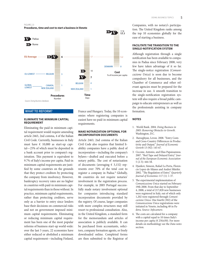FIGURE 2.3 **Procedures, time and cost to start a business in Veneto**



#### **WHAT TO REFORM?**

#### **ELIMINATE THE MINIMUM CAPITAL REQUIREMENT**

Eliminating the paid-in minimum capital requirement would require amending article 2463, 2nd comma, 4 of the Italian Civil Code. Currently, businesses in Italy must have € 10,000 as start-up capital—25% of which must be deposited in a bank account prior to company's registration. This payment is equivalent to 9.7% of Italy's income per capita. Paid-in minimum capital requirements are justified by some countries on the grounds that they protect creditors by protecting the company from insolvency. However, bankruptcy recovery rates are no higher in countries with paid-in minimum capital requirements than in those without. In practice, minimum capital requirements, rather than protecting creditors, serve only as a barrier to entry since lenders base their decisions on commercial risks and not on government imposed minimum capital requirements. Eliminating or reducing minimum capital requirement has been one of the most popular reforms of business start-up world-wide: over the last 5 years, 22 economies have either reduced or abolished a minimum capital requirement—including Finland, France and Hungary. Today, the 10 economies where registering companies is easiest have no paid-in minimum capital requirements.

#### **MAKE NOTARIZATION OPTIONAL FOR INCORPORATION DOCUMENTS**

Article 2463, 2nd comma of the Italian Civil Code also requires that limited liability companies have a public deed of incorporation—including the company's bylaws—drafted and executed before a notary public. The cost of notarization of documents (averaging  $\epsilon$  3,132) represents over 70% of the total cost to register a company in Padua.<sup>6</sup> Globally, 86 countries do not require notaries' involvement in the registration process. For example, in 2005 Portugal successfully made notary involvement optional for companies introducing standard incorporation documents provided by the registry. Of course, larger companies with more complex structures may still resort to professional consultation. Also, in the United Kingdom, a standard form for the memorandum and articles of association is publicly available. It can be purchased from accountants, solicitors, company formation agents, or freely downloaded online. Completed forms are then submitted to the Registrar of Companies, with no notary's participation. The United Kingdom ranks among the top 10 economies globally for the ease of starting a business.

#### **FACILITATE THE TRANSITION TO THE SINGLE-NOTIFICATION SYSTEM**

Although registration through a single notification has been available to companies in Padua since February 2008, very few have taken advantage of it so far. The single-notice registration (*Comunicazione Unica*) is soon due to become compulsory for all businesses, and the Chamber of Commerce and other relevant agencies must be prepared for the increase in use. A smooth transition to the single-notification registration system will also require a broad public campaign to educate entrepreneurs as well as the professionals assisting in company formation.

- 1. World Bank. 2004. *Doing Business in 2005: Removing Obstacles to Growth*. Washington, D.C.
- 2. Barseghyan, Levon. 2008. "Entry Costs and Cross-Country Differences in Productivity and Output." *Journal of Economic Growth* 13 (92): 145-67.
- 3. Ciccone, Antonio, and Elias Papaioannou. 2007. "Red Tape and Delayed Entry." *Journal of the European Economic Association* 5 (2-3): 444-58.
- 4. Djankov, Simeon, Rafael La Porta, Florencio Lopez-de-Silanes and Andrei Shleifer. 2002. "The Regulation of Entry." *Quarterly Journal of Economics* 117 (1): 1-37.
- 5. The experimental implementation of *Comunicazione Unica* started on February 19th 2008. From that day to September 4, 2008, a total of 217,828 new businesses were registered in Italy, out of which only 1,202 were registered through *Comunicazione Unica.* One fourth (302) of the *Comunicazione Unica* registrations were initiated in Veneto, including 48 in Padova. *Source: Infocamere*.
- 6. The costs are calculated for a company with a capital equal to 10 times Italy's income per capita ( $\in$  258,630). For more details on methodology see the *Data notes* section.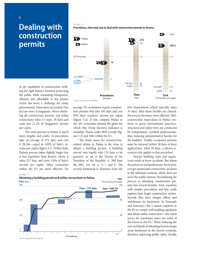# **Dealing with construction permits**

In the regulation of construction, striking the right balance between protecting the public while remaining transparent, efficient and affordable to the private sector has been a challenge for many governments. Some have succeeded. One success story is Singapore, where obtaining all construction permits and utility connections takes 11 steps, 38 days and costs just 21.2% of Singapore's income per capita.

The same process in Padua is much more lengthy and costly: 14 procedures take an average of 273 days and cost  $\epsilon$  28,246—equal to 109% of Italy's income per capita (figure 3.1). Within Italy, Padua's process takes slightly longer but is less expensive than Rome's, where it takes 257 days and costs 136% of Italy's income per capita. Other economies within the EU are more efficient. On





average, EU economies require construction permits that take 185 days and cost 83% their country's income per capita (figure 3.2). If you compare Padua to the 181 economies around the globe for which this *Doing Business* indicator is available, Padua ranks 80th overall (figure 3.3) and 18th within the EU.

The main cause for constructionrelated delays in Padua is the time to obtain a building permit. A building permit may legally take 135 days to be granted—as set in the Decree of the President of the Republic n. 380 June 06, 2001, Art. 20, cc. 3, 7, and 8.1 The second bottleneck is clearance from the



Source: Doing Business database.

FIGURE 3.1

Fire Department, which typically takes 45 days. After these hurdles are cleared, the process becomes more efficient. Midconstruction inspections in Padua conform to good international practices: structural and utility tests are conducted by independent, certified professionals, thus reducing administrative hassles for the builders. Finally, occupancy permits must be released within 30 days of their applications. After 30 days, a silence-isconsent rule applies to this procedure.

Stricter building rules and regulations result in fewer accidents. But where the process is too burdensome, fewer projects get started and construction can move to the informal economy, which does not serve the public interest. Streamlining the process to obtaining construction permits has several benefits. First, countries with simpler procedures and less costly regimes have larger construction sectors. Second, they have cheaper offices and warehouses for businesses. In Denmark and Germany—the 2 easiest countries in the EU to comply with building regulation and obtain utility connections—the rental prices for warehouse space are some of the lowest in the EU.<sup>2</sup> Third, reducing the cost and hassle of obtaining licenses keeps more businesses in the formal economy, therefore improving public safety. Finally,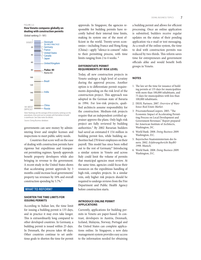#### FIGURE 3.3

#### **How Veneto compares globally on dealing with construction permits**

Global ranking (1–181)



Source: Doing Business database. Note: Rankings are the average of the economy rankings on the procedures, time and cost to comply with formalities to build a warehouse. See Data notes for details.

governments can save money by administering fewer and simpler licenses and inspections to meet public safety needs.

Countries that score well on the ease of dealing with construction permits have rigorous but expeditious and transparent permitting regimes. Speedy approvals benefit property developers while also bringing in revenue to the government. A recent study in the United States shows that accelerating permit approvals by 3 months could increase local governments' property tax revenues by 16% and overall construction spending by 5.7%.<sup>3</sup>

#### **WHAT TO REFORM?**

#### **SHORTEN THE TIME LIMITS FOR ISSUING PERMITS**

According to Italian law, the time limit for issuing a building permit is 135 days, and in practice it may even take longer. This is extraordinarily long compared to other developed countries. In Germany, a building permit is issued within 25 days. In Denmark, the process takes 40 days. Other countries continue to set ambitious goals to shorten the time for permit approvals. In Singapore, the agencies responsible for building permits have recently halved their internal time limits, making its system one of the most efficient in the world. Twenty-seven economies—including France and Hong Kong (China)—apply "silence-is-consent" rules to their permitting process, with time limits ranging from 2 to 4 weeks. 4

#### **DIFFERENTIATE PERMIT REQUIREMENTS BY RISK LEVEL**

Today, all new construction projects in Veneto undergo a high level of scrutiny during the approval process. Another option is to differentiate permit requirements depending on the risk level of the construction project. This approach was adopted in the German state of Bavaria in 1994. For low-risk projects, qualified architects assume responsibility for the construction. Medium-risk projects require that an independent certified appraiser approve the plans. Only high-risk project are fully reviewed by building authorities.<sup>5</sup> By 2002 Bavarian builders had saved an estimated  $\epsilon$  154 million in building permit fees, while building authorities had 270 fewer employees on their payroll. This model has since been rolled out to the rest of Germany.<sup>6</sup> Introducing a similar system in Veneto and across Italy could limit the volume of permits that municipal agencies must review. At the same time, agencies could focus their resources on the expeditious handling of high-risk, complex projects. In a similar vein, only higher risk projects should be required to undergo reviews from the Fire Department and Public Health Agency before construction starts.

#### **INTRODUCE ONLINE PERMIT APPLICATIONS**

Currently, applications for building permits in Veneto are paper-based. In contrast, developers in Austria, Denmark, Iceland, Malaysia, Norway, Portugal and the United States can complete applications online. In Singapore, a new data management system provides easy access to the information needed for obtaining a building permit and allows for efficient processing. Once an online application is submitted, builders receive regular updates on the status of their pending application via e-mail or text messaging. As a result of the online system, the time to deal with construction permits was reduced by two-thirds. This reform saves time for entrepreneurs and government officials alike and would benefit both groups in Veneto.

- 1. The law set the time for issuance of building permits at 135 days for municipalities with more than 100,000 inhabitants, and 75 days for municipalities with less than 100,000 inhabitants.
- 2. DEOL Partners. 2007. *Overview of Warehouse Real Estate Market*.
- 3. PricewaterhouseCoopers. 2005. "The Economic Impact of Accelerating Permitting Process on Local Development and Government Revenues." Report prepared for American Institute of Architects, Washington, DC.
- 4. World Bank. 2008. *Doing Business 2009.*  Washington, D.C.
- 5. Bayerisches Staatsministerium des Innern. 2002. *Erfahrungsbericht BayBO 1998*. Munich.
- 6. World Bank. 2008. *Doing Business 2009*. Washington, D.C.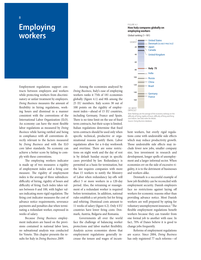# **Employing workers**

Employment regulations support contracts between employers and workers while protecting workers from discriminatory or unfair treatment by employers. *Doing Business* measures the amount of flexibility in hiring regulations, working hours and dismissal in a manner consistent with the conventions of the International Labor Organization (ILO). An economy can have the most flexible labor regulations as measured by *Doing Business* while having ratified and being in compliance with all conventions directly relevant to the factors measured by *Doing Business* and with the ILO core labor standards. No economy can achieve a better score by failing to comply with these conventions.

The employing workers indicator is made up of two measures: a rigidity of employment index and a firing cost measure. The rigidity of employment index is the average of three subindices: difficulty of hiring, rigidity of hours and difficulty of firing. Each index takes values between 0 and 100, with higher values indicating more rigid regulation. The firing cost indicator measures the cost of advance notice requirements, severance payments and penalties due when terminating a redundant worker, expressed in weeks of salary.

Because *Doing Business* employment indicators are based on the provisions contained in national labor laws, no subnational analysis was conducted for Veneto. This chapter presents the results for Italy in *Doing Business 2009*.

Among the economies analyzed by *Doing Business*, Italy's ease of employing workers ranks it 75th of 181 economies globally (figure 4.1) and 8th among the 25 EU members. Italy scores 38 out of 100 points on the rigidity of employment index—ahead of 15 EU countries, including Germany, France and Spain. There is no time limit on the use of fixed term contracts, but their scope is limited. Italian regulations determine that fixed term contracts should be used only when specific technical, productive or organizational reasons justify them. Labor regulations allow for a 6-day workweek and overtime. There are some restrictions on night work and the day of rest is by default Sunday except in specific cases provided by law. Redundancy is permitted as a basis for termination, but the law requires companies with more than 15 workers to notify the Ministry of Labor when redundancy lay-offs will affect 5 or more workers in a 120-day period. Also, the retraining or reassignment of a redundant worker is required before termination. In addition, national rules establish a set priority list for firing and rehiring. Dismissal costs amount to 11 weeks of salary (figure 4.2). Only 4 EU countries have lower firing costs: Denmark, Austria, Bulgaria and Romania.

Governments all over the world face the challenge of balancing worker protections and labor market flexibility. Analysis across economies shows that employment regulations generally increase the tenure and wages of incum-

#### FIGURE 4.1 **How Italy compares globally on employing workers**

Global ranking (1–181)



Source: Doing Business database. Note: Rankings are the average of the economy rankings on the difficulty of hiring, rigidity of hours, difficulty of firing and firing cost indices. See Data notes for details.

bent workers, but overly rigid regulations come with undesirable side effects which may reduce productivity growth. Those undesirable side effects may include fewer new jobs, smaller company size, less investment in research and development, longer spells of unemployment and a larger informal sector. When economies err on the side of excessive rigidity, it is to the detriment of businesses and workers alike.

Denmark is a successful example of how job flexibility can be reconciled with employment security. Danish employers face no restrictions against laying off workers for economic reasons other than providing advance notice. Most Danish workers are well prepared by opting for voluntary unemployment insurance.<sup>1</sup> The flexible employment regulations benefit workers because they can transfer from one formal job to another with ease. In fact, 70% of Danes believe it is good to change jobs frequently.

Reforms of employment regulations are scarce. Since 2004, *Doing Business* has only registered 77 such reforms—of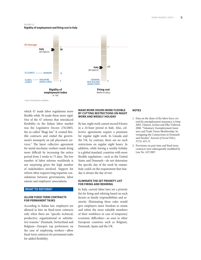FIGURE 4.2

**Rigidity of employment and firing cost in Italy**



Source: Doing Business database.

which 47 made labor regulations more flexible while 30 made them more rigid. One of the 47 reforms that introduced flexibility in the Italian labor market was the Legislative Decree 276/2003, the so-called "Biagi law." It created flexible contracts and ended the government's monopoly on job placement services.<sup>2</sup> The latest collective agreement for metal-mechanic workers made firing more difficult by increasing the notice period from 2 weeks to 75 days. The low number of labor reforms worldwide is not surprising given the high number of stakeholders involved. Support for reform often requires long tripartite consultations between governments, labor unions and employers' associations.

#### **WHAT TO REFORM?**

#### **ALLOW FIXED-TERM CONTRACTS FOR PERMANENT TASKS**

According to Italian law, employers are allowed to hire on fixed-term contracts only when there are "specific technical, productive, organizational or substitutive reasons." Denmark, Switzerland and Belgium—Europe's top performers on the ease of employing workers—allow fixed-term contracts for permanent tasks for added flexibility.

#### **MAKE WORK HOURS MORE FLEXIBLE BY CUTTING RESTRICTIONS ON NIGHT WORK AND WEEKLY HOLIDAY**

By law, night work cannot exceed 8 hours in a 24-hour period in Italy. Also, collective agreements require a premium for regular night work. In Canada and the UK, by contrast, there are no such restrictions on regular night hours. In addition, while having a weekly holiday is a global standard, countries with more flexible regulations—such as the United States and Denmark—do not determine the specific day of the week by statute. Italy could cut the requirement that Sunday is always the day of rest.

#### **ELIMINATE THE SET PRIORITY LIST FOR FIRING AND REHIRING**

In Italy, current labor laws set a priority list for firing and rehiring based on such factors as family responsibilities and seniority. Eliminating these rules would give employers more freedom to retain and rehire the most valuable members of their workforce in case of temporary economic difficulties—as seen in other European countries such as Belgium, Denmark, Spain and the UK.

- 1. Data on the share of the labor force covered by unemployment insurance is from 2002. Clansen, Jochen and Elke Viebrock. 2008. "Voluntary Unemployment Insurance and Trade Union Membership: Investigating the Connections in Denmark and Sweden." *Journal of Social Policy* 37(3): 433-51.
- 2. Provisions on part-time and fixed-term contracts were subsequently modified by Law No. 247/2007.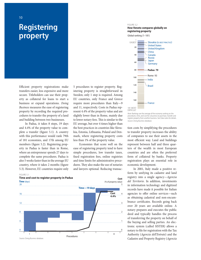# **Registering property**

10

Efficient property registrations make transfers easier, less expensive and more secure. Titleholders can use their property as collateral for loans to start a business or expand operations. *Doing Business* measures the ease of registering property by recording the required procedures to transfer the property of a land and building between two businesses.

In Padua, it takes 8 steps, 19 days and 4.4% of the property value to complete a transfer (figure 5.1). A country with this performance would rank 79th of 181 economies, and 17th among EU members (figure 5.2). Registering property in Padua is faster than in Rome, where an entrepreneur spends 27 days to complete the same procedures. Padua is also 5 weeks faster than in the average EU country, where it takes 2 months (figure 5.3). However, EU countries require only

5 procedures to register property. Registering property is straightforward in Sweden; only 1 step is required. Among EU countries, only France and Greece require more procedures than Italy—9 and 11, respectively. Costs in Padua represent 4.4% of the property value and are slightly lower than in Rome, mainly due to lower notary fees. This is similar to the EU average, but over 4 times higher than the best practices in countries like Slovakia, Estonia, Lithuania, Poland and Denmark, where registering property costs less than 1% of the property value.

Economies that score well on the ease of registering property tend to have simple procedures, low transfer taxes, fixed registration fees, online registries and time limits for administrative procedures. They also make the use of notaries and lawyers optional. Reducing transac-





Global ranking (1–181)



Source: Doing Business database. Note: Rankings are the average of the economy ranking on the procedures, time, and cost for a business to purchase, transfer and register property from another business. See Data notes for details.

tion costs by simplifying the procedures to transfer property increases the ability of companies to use their assets in the most efficient way. Land and buildings represent between half and three quarters of the wealth in most European countries and are often the preferred form of collateral by banks. Property registration plays an essential role in economic development.

In 2001, Italy made a positive reform by unifying its cadastre and land registry into a single agency—*Agenzia del Territorio*. In addition, investments in information technology and digitized records have made it possible for Italian agencies to offer online services—such as obtaining cadastral and non-encumbrance certificates. Records going back over 20 years are available online. A notary prepares and executes the public deed and typically handles the process of transferring the property on behalf of the buying and selling parties. An electronic system (called SISTER) allows a notary to file for registration with the Tax Authority (*Agenzia dell'Entrate*) and the Cadastre and Property Registry (*Agenzia*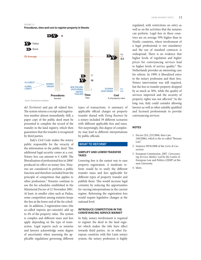FIGURE 5.3 **Procedures, time and cost to register property in Veneto**



*del Territorio*) and pay all related fees. The system returns a receipt and registration number almost immediately. Still, a paper copy of the public deed must be presented to complete the record of the transfer in the land registry, which then guarantees that the transfer is recognized by third parties.

Italy's Civil Code makes the notary public responsible for the veracity of the information in the public deed. This additional legal security comes at a cost. Notary fees can amount to  $\epsilon$  4,600. The liberalization of professional fees in 2006<sup>1</sup> produced no effect on notary fees. Notaries are considered to perform a public function and therefore excluded from the principle of competition that applies to other professions.2 Notaries continue to use the fee schedules established in the Ministerial Decree of 21 November 2001. At least, in smaller cities such as Padua, some competition among notaries keeps the fees at the lower end of the fee schedule. In addition, 2 registration taxes (the so-called *imposta ipo-catastale*) add up to 4% of the property value. The system is complex and different taxes and fees apply depending on the type of transaction. Legal experts such as notaries and lawyers acknowledge some degree of uncertainty when assessing the applicable regulations governing different

types of transactions. A summary of applicable official charges on property transfer shared with *Doing Business* by a notary included 39 different scenarios with different applicable fees and taxes. Not surprisingly, this degree of complexity may lead to different interpretations by public officials.

### **WHAT TO REFORM?**

#### **SIMPLIFY AND LOWER TRANSFER TAXES**

Lowering fees is the easiest way to ease property registration. A moderate reform would be to unify the different transfer taxes and fees applicable for different types of property transfer and publish them. This would increase legal certainty by reducing the opportunities for varying interpretations in the current regime. Reforming the registration fees would require legislative changes at the national level.

#### **INTRODUCE COMPETITION IN THE CONVEYANCING SERVICE MARKET**

In Italy, notary involvement is required to register the deed in the land register which makes the title have effect towards third parties. As in other European countries with this Latin notary system, the notary profession is highly

regulated, with restrictions on entry as well as on the activities that the notaries can perform. Legal fees in these countries are on average 59% higher than in Nordic countries, where involvement of a legal professional is not mandatory and the use of standard contracts is widespread. There is no evidence that higher levels of regulation and higher prices for conveyancing services lead to higher levels of service quality.<sup>3</sup> The Netherlands provides an interesting case for reform. In 1999, it liberalized entry to the notary profession and their fees. Notary intervention was still required, but the fees to transfer property dropped by as much as 30%, while the quality of services improved and the security of property rights was not affected.4 In the long run, Italy could consider allowing lawyers as well as other suitably qualified and licensed professionals to provide conveyancing services.

#### **NOTES**

- 1. Decree (D.L.223/2006, then Law 248/2006), which is the so-called "Bersani Law."
- 2. Sentence 9878/2008 of the *Corte di Cassazione*.
- 3. European Commission. 2007. *Conveyancing Services Market*. Led by the Centre of European Law and Politics (ZERP) at Bremen University.

4. Idem.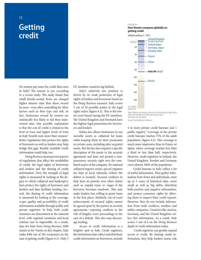# **Getting credit**

Do women pay more for credit than men in Italy? The answer is yes, according to a recent study. The study found that small female-owned firms are charged higher interest rates than those owned by men—even after controlling for other factors such as firm type and risk. In fact, businesses owned by women are statistically less likely to fail than maleowned ones. One possible explanation is that the cost of credit is related to the level of trust and higher levels of trust in Italy benefit men more than women.<sup>1</sup> Better regulations that protect the rights of borrowers as well as lenders may help bridge this gap. Readily available credit information could help, too.

*Doing Business* measures two aspects of regulations that affect the availability of credit: the legal rights of borrowers and lenders and the sharing of credit information. First, the strength of legal rights is measured by looking at the degree to which collateral and bankruptcy laws protect the rights of borrowers and lenders and thus facilitate lending. Second, the sharing of credit information is measured by looking at the coverage, scope, quality and accessibility of credit information available through public and private registries. In Italy, both credit measures are determined at the national level, with regional variations and local reforms rare to impossible. As a result, data for Italy from *Doing Business 2009*  stands in for Veneto in this chapter. Italy ranks 84th out of 181 economies on the ease of getting credit (figure 6.1). Only 3

EU member countries lag behind.

Italy's relatively low position is driven by its weak protection of legal rights of lenders and borrowers based on the *Doing Business* measure. Italy scores 3 out of 10 possible points in the legal rights index (figure 6.2). This is the lowest score found among the EU members. The United Kingdom and Denmark have the highest legal protections for borrowers and lenders.

Italian law allows businesses to use movable assets as collateral for loans while keeping them in their possession in certain cases, including after-acquired assets. But the law also requires a specific description of the assets in the security agreement and does not permit a nonpossessory security right over the combined assets of the company. No national collateral registry exists; special registers are kept at local tribunals (where the debtor is located). Secured creditors in Italy have no priority over other claims such as unpaid taxes or wages if the borrower becomes insolvent. This may make lenders less willing to grant loans in the first place. Similarly, out-of-court enforcements of secured rights cannot be agreed upon by the parties in security agreements—exposing creditors to the risk of lengthy court proceedings in the case of a default. This also may discourage lending.

Access to credit information is a brighter spot in Italy. Credit registries, the institutions that collect and distribute credit information on borrowers, include

#### FIGURE 6.1

**How Veneto compares globally on getting credit** 

Global ranking (1–181)



Source: Doing Business database. Note: Rankings are based on the sum of the strength of legal rights index and the depth of credit information index. See Data notes for details.

4 or more private credit bureaus and 1 public registry.2 Coverage of the private credit bureaus reaches 75% of the adult population (figure 6.2). This coverage is much more impressive than in France or Spain, where coverage reaches less than a third or less than half, respectively. However, credit registries in Ireland, the United Kingdom, Sweden and Germany cover almost 100% of the population.

Credit bureaus in Italy collect a lot of useful information. They gather information from firms and individuals, store up to 3 years of historical data, cover small as well as big debts, distribute both positive and negative information, and protect consumer rights by allowing them to inspect their credit reports. However, they do not include information from trade creditors, retailers and utility companies. Countries like Austria, Germany, and the United Kingdom collect this information. As a result, Italy scores 5 out of 6 on the *Doing Business* depth of credit information index.

 Credit registries can greatly expand access to credit. By sharing credit information, they help lenders assess risk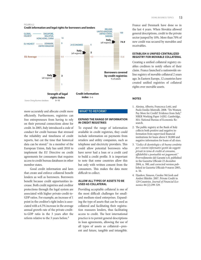

more accurately and allocate credit more efficiently. Furthermore, registries can free entrepreneurs from having to rely on their personal connections alone for credit. In 2005, Italy introduced a code of conduct for credit bureaus that stressed the reliability and timeliness of credit reports, but cut the time that historical data can be stored.<sup>3</sup> As a member of the European Union, Italy has until 2010 to implement the EU Directive on credit agreements for consumers that requires access to credit bureau databases in other member states.

Good credit information and laws that create and enforce collateral benefit lenders as well as borrowers. Borrowers benefit because credit opportunities increase. Both credit registries and creditor protections through the legal system are associated with higher private-credit-to-GDP ratios. For example, an increase of 1 point in the creditor's right index is associated with a 6.5% increase in the average annual growth rate of the private-creditto-GDP ratio in the 3 years after the reform relative to the 3 years before.<sup>4</sup>

#### **WHAT TO REFORM?**

#### **EXPAND THE RANGE OF INFORMATION IN CREDIT REGISTRIES**

To expand the range of information available in credit registries, they could include information on payments from retailers and utility companies, such as telephone and electricity providers. This could allow potential borrowers who have never had a loan or a credit card to build a credit profile. It is important to note that some countries allow this but only with written consent from the consumers. This makes the data more difficult to collect.

#### **ALLOW ALL TYPES OF ASSETS TO BE USED AS COLLATERAL**

Providing acceptable collateral is one of the most difficult challenges for smalland medium-sized enterprises. Expanding the type of assets that can be used as collateral and facilitating their registration reassures lenders, thus facilitating access to credit. The best international practice is to permit general descriptions in loan agreements, allowing the use of all types of assets as collateral—present and future, tangible and intangible.

France and Denmark have done so in the last 4 years. When Slovakia allowed general descriptions, credit to the private sector jumped by 10%. More than 70% of new credit was secured by movables and receivables.

#### **ESTABLISH A UNIFIED CENTRALIZED REGISTRY FOR MOVABLE COLLATERAL**

Creating a unified collateral registry enables creditors to notify others of their claim. France launched a nationwide online registry of movable collateral 2 years ago. In Eastern Europe, 12 countries have created unified registries of collateral rights over movable assets.

- 1. Alesina, Alberto, Francesca Lotti, and Paolo Emilio Mistrulli. 2008. "Do Women Pay More for Credit? Evidence from Italy." NBER Working Paper 14202. Cambridge, MA: National Bureau of Economic Research.
- 2. The public registry at the Bank of Italy collects both positive and negative information from supervised financial institutions for loans above  $\in$  30,000 and negative information for loans of all sizes.
- 3. "*Codice di deontologia e di buona condotta per i sistemi informativi gestiti da soggetti privati in tema di crediti al consumo, affidabilità e puntualità nei pagamenti*." Provvedimento del Garante n.8, published in the Gazzetta Ufficiale 23 dicembre 2004, n. 300, and corrected version published in Gazzetta Ufficiale 9 marzo 2005, n. 56.
- 4. Djankov, Simeon, Caralee McLiesh and Andrei Shleifer. 2007. Private Credit in 129 Countries. *Journal of Financial Economics* 84 (2):299-329.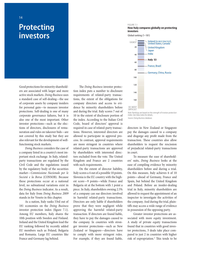# **Protecting investors**

Good protections for minority shareholders are associated with larger and more active stock markets. *Doing Business* uses a standard case of self-dealing—the use of corporate assets by company insiders for personal gain—to measure investor protections. Self-dealing is one of many corporate governance failures, but it is also one of the most important. Other investor protections—such as the elections of directors, disclosures of remuneration and rules on takeover bids—are not covered by this study but they are also relevant for the development of wellfunctioning stock markets.

*Doing Business* considers the case of a company listed in a country's most important stock exchange. In Italy, relatedparty transactions are regulated by the Civil Code and the regulations issued by the regulatory body of the securities market—*Commissione Nazionale per le Societá e la Borsa* (CONSOB). Because these protections occur at a national level, no subnational variations exist in the *Doing Business* indicator. As a result, data for Italy from *Doing Business 2009* stands in for Veneto in this chapter.

As a nation, Italy ranks 53rd out of 181 economies on the *Doing Business* investor protection index (figure 7.1). Among EU members, Italy shares the 10th position with Sweden and Finland. Ireland and the United Kingdom lead the EU ranking followed by recently added EU members such as Poland, Bulgaria and Romania. Large EU countries like France and Germany lag behind.

The *Doing Business* investor protection index puts a number to disclosure requirements of related-party transactions, the extent of the obligations for company directors and access to evidence by minority shareholders before and during the trial. Italy scores 7 out of 10 in the extent of disclosure portion of the index. According to the Italian Civil Code, board of directors' approval is required in case of related-party transactions. However, interested directors are allowed to participate in approval process. In contrast, approval requirements are more stringent in countries where related-party transactions are approved by shareholders with interested directors excluded from the vote. The United Kingdom and France are 2 countries with such requirements.

On the extent of director liability, Italy scores a 4 out of a possible 10 points. Slovenia is the EU country with the highest score—9 points—while France and Bulgaria sit at the bottom with 1 point a piece. In Italy, shareholders owning 2.5% of a company can sue directors involved in harmful related-party transactions. Directors are only liable if shareholders prove that they were negligent while approving the harmful related-party transaction. If directors are found liable, they have to pay the damages caused to the company. In countries with stronger investor protections—such as New Zealand or Singapore—directors have to comply with more stringent rules. For example, if they are found liable,

#### FIGURE 7.1 **How Italy compares globally on protecting investors**

Global ranking (1–181)



Source: Doing Business database. Note: Rankings are based on the strength of investor protection index. See Data notes for details.

directors in New Zealand or Singapore pay the damages caused to a company and disgorge any profit made from the transaction. These countries also allow shareholders to request the rescission of prejudicial related-party transactions in court.

To measure the ease of shareholders' suits, *Doing Business* looks at the ease of compiling evidence by minority shareholders before and during a trial. On this measure, Italy achieves 6 of 10 points—ahead of Germany, France and Spain, but behind the United Kingdom and Poland. Before an insider-dealing trial in Italy, minority shareholders are allowed to request the appointment of an inspector to investigate the activities of the company. And during the trial, plaintiffs may access a wide range of evidence in possession of the opposing party.

Greater investor protections are associated with more equity investment. A study of private equity transactions found that in countries with good investor protections, 3 deals take place compared to just 2 in countries with higher risk of expropriation.<sup>1</sup> This tends to be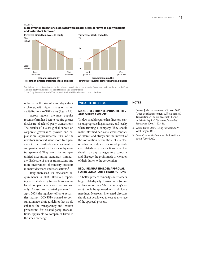#### FIGURE 7.2 **More investor protections associated with greater access for firms to equity markets and faster stock turnover**



Note: Relationships remain significant at the 5% level when controlling for income per capita. Economies are ranked on the perceived difficulty in access to equity, with 131 being the most difficult. See Data notes for details.

Source: Doing Business database; WEF (2007); World Bank, World Development Indicators database.

reflected in the size of a country's stock exchange, with higher shares of market capitalization-to-GDP ratios (figure 7.2).

Across regions, the most popular recent reform has been to require greater disclosure of related-party transactions. The results of a 2002 global survey on corporate governance provide one explanation: approximately 90% of the investors surveyed want more transparency in the day-to-day management of companies. What do they mean by more transparency? They want, for example, unified accounting standards, immediate disclosure of major transactions and more involvement of minority investors in major decisions and transactions.<sup>2</sup>

Italy increased its disclosure requirements in 2006. However, reporting of related-party transactions among listed companies is scarce: on average, only 17 cases are reported per year.<sup>3</sup> In April 2008, the regulator of Italy's securities market (CONSOB) opened to consultation new draft guidelines that would enhance the transparency and investor protections for related-party transactions, applicable to companies listed in the stock exchange.

#### **WHAT TO REFORM?**

#### **MAKE DIRECTORS' RESPONSIBILITIES AND DUTIES EXPLICIT**

The law should require that directors exercise appropriate diligence, care and loyalty when running a company. They should make informed decisions, avoid conflicts of interest and always put the interest of the corporation before those of directors or other individuals. In case of prejudicial related-party transactions, directors should pay any damages to a company and disgorge the profit made in violation of their duties to the corporation.

#### **REQUIRE SHAREHOLDER APPROVAL FOR RELATED-PARTY TRANSACTIONS**

To better protect minority shareholders, large related-party transactions (representing more than 5% of company's assets) should be approved in shareholders' meetings. Moreover, interested directors should not be allowed to vote at any stage of the approval process.

- 1. Lerner, Josh and Antoinette Schoar. 2005. "Does Legal Enforcement Affect Financial Transactions? The Contractual Channel in Private Equity." *Quarterly Journal of Economics* 120 (1): 223-46.
- 2. World Bank. 2008. *Doing Business 2009*. Washintgon, D.C.
- 3. *Commissione Nazionale per le Societá e la Borsa (CONSOB)*.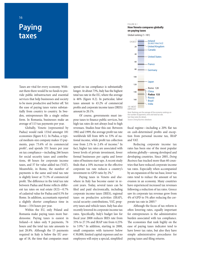# **Paying taxes**

Taxes are vital for every economy. Without them there would be no funds to provide public infrastructure and essential services that help businesses and society to be more productive and better off. Yet the ease of paying taxes varies substantially from country to country. In Sweden, entrepreneurs file a single online form. In Romania, businesses make an average of 113 tax payments per year.

Globally, Veneto (represented by Padua) would rank 133rd amongst 181 economies (figure 8.1). In Padua, a typical medium-size company makes 15 payments, pays 73.6% of its commercial profit<sup>1</sup>, and spends 351 hours per year on tax compliance—including 266 hours for social security taxes and contributions, 48 hours for corporate income taxes, and 37 for value added tax (VAT). Meanwhile, in Rome, the number of payments is the same and total tax rate is slightly lower at 73.3% of commercial profit. The difference in the total tax rate between Padua and Rome reflects different tax rates on real estate (ICI)—0.7% of cadastral value for Padua and 0.5% for Rome. In addition, accountants reported a slightly shorter compliance time in Rome—334 hours per year.

Within the EU, only Poland and Romania make paying taxes more burdensome. Paying taxes is easiest in Ireland—it takes only 9 payments, 76 hours and the total tax rate amounts to just 28.8%. Although the 15 payments required in Italy is below the EU average of 18, the time that companies must

spend on tax compliance is substantially longer. At about 73%, Italy has the highest total tax rate in the EU, where the average is 46% (figure 8.2). In particular, labor taxes amount to 43.2% of commercial profits and corporate income taxes (IRES) amount to 20.1%.

Of course, governments must impose taxes to finance public services, but high tax rates do not always lead to high revenues. Studies bear this out. Between 1982 and 1999, the average profit tax rate worldwide fell from 46% to 33% of national income, while profit tax collection rose from 2.1% to 2.4% of income.<sup>2</sup> In fact, higher tax rates are associated with lower levels of private investment, fewer formal businesses per capita and lower rates of business start-ups. A recent study finds that a 10% increase in the effective corporate tax rate reduces a country's investment-to-GPD ratio by 2%.3

Paying taxes in Veneto and elsewhere in Italy has become easier in recent years. Today, several taxes can be filed and paid electronically, including corporate income taxes (IRES), regional taxes on productive activities (IRAP), social security contributions, VAT, property taxes and vehicle taxes. Italy has also recently lowered its corporate income tax rates. Specifically, Italy's budget law for fiscal year 2008 reduces IRES rate from 33% to 27.5% and IRAP rate from 4.25% to 3.9%.<sup>4</sup> In addition, starting in 2008, small companies with turnover below € 30,000, limited capital expenses and no employees will enjoy a special, simplified

#### FIGURE 8.1 **How Veneto compares globally on paying taxes**

Global ranking (1–181)



fiscal regime—including a 20% flat tax on cash-determined profits and exception from personal income tax, IRAP and VAT.

Reducing corporate income tax rates has been one of the most popular reforms globally—among developed and developing countries. Since 2005, *Doing Business* has tracked more than 60 countries that have reduced corporate income tax rates. Especially when accompanied by an expansion of the tax base, lower tax rates tend to reduce the amount of tax evasion in an economy. Many countries have experienced increased tax revenues following a reduction of tax rates. Greece saw its corporate tax revenue grow from 4% of GPD to 5% after reducing the corporate tax rate in 2005.6

Although the focus of tax reform is often lowering rates, equally important for entrepreneurs is the administrative burden associated with tax compliance. The economies that rank highly on the ease of paying taxes indicator tend to have lower tax rates, but also they have simple administrative procedures for paying taxes and filing returns.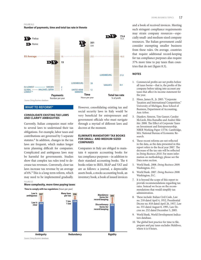FIGURE 8.2

**Number of payments, time and total tax rate in Veneto**



However, consolidating existing tax and social security laws in Italy would be very beneficial for entrepreneurs and government officials who must navigate through a myriad of different laws and

**ELIMINATE MANDATORY TAX BOOKS FOR SMALL- AND MEDIUM-SIZED** 

Companies in Italy are obliged to maintain 6 separate accounting books for tax compliance purposes—in addition to their standard accounting books. The 6 books relate to IRES, IRAP and VAT and are as follows: a journal, a depreciable assets book, a stocks accounting book, an inventory book, a book of issued invoices

decrees at the moment.

**COMPANIES**

#### **WHAT TO REFORM?**

#### **CONSOLIDATE EXISTING TAX LAWS AND CLARIFY AMBIGUITIES**

Currently, Italian companies must refer to several laws to understand their tax obligations. For example, labor taxes and contributions are governed by 5 separate statutes.<sup>8</sup> In addition, changes in the tax laws are frequent, which makes longer term planning difficult for companies. Complicated and ambiguous laws may be harmful for governments. Studies show that complex tax rules tend to decrease tax revenues. Conversely, clear tax laws increase tax revenue by an average of 6%.9 This is a long-term reform, which may need to be implemented gradually.

FIGURE 8.3 **More complexity, more time paying taxes**



and a book of received invoices. Meeting such stringent compliance requirements may strain company resources—especially small- and medium-sized company resources. The Italian government could consider exempting smaller business from these rules. On average, countries that require additional record-keeping for tax compliance purposes also require 37% more time to pay taxes than countries that do not (figure 8.3).

- 1. Commercial profits are net profits before all taxes borne—that is, the profits of the company before taking into account any taxes that affect its income statement for the year.
- 2. Hines, James R., Jr. 2005. "Corporate Taxation and International Competition." University of Michigan, Ross School of Business, Department of Accounting, Ann Arbor.
- 3. Djankov, Simeon, Tim Ganser, Caralee McLiesh, Rita Ramalho and Andrei Shleifer. 2008. The Effect of Corporate Taxes on Investment and Entrepreneurship. NBER Working Paper 13756. Cambridge, MA: National Bureau of Economic Research.
- 4. These recent reforms are not reflected in the data, as the data presented in this report refers to the fiscal year 2007. The decrease of the tax rate will be reflected in *Doing Business 2010*. For more information on methodology, please see the Data notes section.
- 5. World Bank. 2008. *Doing Business 2009.*  Washington, D.C.
- 6. World Bank. 2007. *Doing Business 2008.* Washington, D.C.
- 7. It is beyond the scope of this report to provide recommendations regarding tax rates. Instead we focus on the recommendations that would simplify tax administration.
- 8. These include: Italian Civil Code, Law no. 218 dated April 4, 1952, Presidential Decree no. 818 dated April 26, 1957, Law no. 355 dated August 8, 1995, Law Decree no. 252 dated December 5, 2005.
- 9. World Bank, World Development Indicators database.
- 10. The global best practice for time to file, prepare and pay taxes excludes Maldives, where it is 0 hours.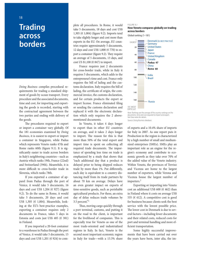# **Trading across borders**

*Doing Business* compiles procedural requirements for trading a standard shipment of goods by ocean transport. Every procedure and the associated documents, time and cost, for importing and exporting the goods is recorded, starting with the contractual agreement between the two parties and ending with delivery of the goods.

The procedures required to export or import a container vary globally. Of the 181 economies examined by *Doing Business,* it is easiest to export or import a container in Singapore, while Padua which represents Veneto ranks 47th and Rome ranks 60th (figure 9.1). It is significantly easier to trade across borders in Italy's neighboring countries—such as Austria which ranks 19th, France (22nd) and Switzerland (39th). Meanwhile, it is more difficult to cross-border trade in Slovenia, which ranks 78th.

If you exported a container of apparel from Padua through the port of Venice, it would take 5 documents, 16 days and cost US\$ 1,204 ( $\in$  927) (figure 9.2). To do the same in Rome, it would take 5 documents, 20 days and cost US\$ 1,305 (€ 1,004). Meanwhile, looking at the EU's best-practice examples, exporting a container requires only 2 documents in France, takes 5 days in Estonia and costs just US\$ 485 ( $\epsilon$  381) in Finland.

If you imported a 20-foot container to a warehouse in Padua through the port of Venice, it would take 5 documents, 15 days and cost US\$ 1,201 ( $\in$  924) to complete all procedures. In Rome, it would take 5 documents, 18 days and cost US\$ 1,305 (€ 1,004) (figure 9.2). Imports tend to take slightly longer and cost more than exports in the EU. On average, EU countries require approximately 5 documents, 12 days and cost US\$ 1,000 ( $\in$  770) to export a container (figure 9.2). They require an average of 5 documents, 13 days, and cost US \$1,100 ( $\in$  847) to import.

France requires just 2 documents for cross-border trade, while in Italy it requires 5 documents, which adds to the entrepreneur's time and cost. France only requires the bill of lading and the customs declaration. Italy requires the bill of lading, the certificate of origin, the commercial invoice, the customs declaration, and for certain products the export or import license. France eliminated filing or sending the customs declaration and replaced it with the electronic declaration which only requires the 2 abovementioned documents.

In Veneto, it takes 4 days longer to export than in other EU countries on average, and it takes 2 days longer to import. The reason for this is that more than 50% of the total export and import time is spent on collecting all required trade documents. The importance of spending less time on trade is emphasized by a study that shows that "each additional day that a product is delayed prior to being shipped reduces trade by more than 1%. Put differently, each day is equivalent to a country distancing itself from its trade partners by about 70 km on average. Delays have an even greater impact on exports of time-sensitive goods, such as perishable agricultural products. For these, an extra day of delay reduces trade volumes by 3.5 percent."1

Thus, moving cargo quickly through a port terminal, customs, and putting it on the road to the client, is important for the livelihood of companies. This is especially true for Veneto as one of the most trade-oriented and industrialized regions in Italy. In fact, Veneto is the second most important economic region in Italy for trade—with a 13.3% share

#### FIGURE 9.1 **How Veneto compares globally on trading across borders**

Global ranking (1–181)



Source: Doing Business database documents, time and cost required to import and export. See Data notes for details.

of exports and a 10.4% share of imports for Italy in 2007. As one report puts it: Production in the region is characterized by a high number of small and mediumsized enterprises (SMEs). SMEs play an important role as an engine for the region's economy and contribute to economic growth as they take over 70% of the added value of the Veneto industry. Within Veneto, the provinces of Treviso and Vicenza are home to the largest number of exporters, while Verona and Vicenza house the largest number of importers.2

Exporting or importing into Veneto cost an additional US\$ 600 ( $\in$  462) than in Finland where it costs on average US\$ 535 ( $\in$  412). A competitive cost is good for business because clients seek the best service with the lowest possible price. The lower cost in Denmark is due to several factors—including fewer documents and their related costs, reduced costs for port and terminal handling and more efficient transportation.

Some highly successful improvements that have been carried out over the years have been, inter alia, the im-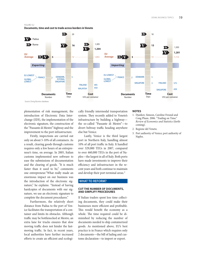FIGURE 9.2 **Documents, time and cost to trade across borders in Veneto**



plementation of risk management, the introduction of Electronic Data Interchange (EDI), the implementation of the electronic signature, the construction of the "Passante di Mestre" highway and the improvement to the port infrastructure.

Firstly, inspections are carried out only on about 5-10% of all containers. As a result, clearing goods through customs requires only a few hours of an entrepreneur's time, on average. In 2005, Italian customs implemented new software to ease the submissions of documentation and the clearing of goods. "It is much faster than it used to be," comments one entrepreneur."What really made an enormous impact on our business was the introduction of the electronic signature," he explains. "Instead of having hardcopies of documents with our signature, we use an electronic signature to complete the document procedures."

Furthermore, the relatively short distance from Padua to the port of Venice facilitates the transportation of a container and limits its obstacles. Although traffic may be bottlenecked at Mestre, an extra lane for trucks ensures that slow moving traffic does not hinder the fastmoving traffic. In fact, in recent years, local authorities have further increased efforts to create an efficient and ecologically friendly intermodal transportation system. They recently added to Veneto's infrastructure by building a highway the so-called "Passante di Mestre"—to divert beltway traffic heading anywhere else but Venice.

Lastly, Venice is the third largest port in Northern Italy, handling almost 10% of all port traffic in Italy. It handled over 329,000 TEUs in 2007, compared to over 460,000 TEUs in the port of Naples—the largest in all of Italy. Both ports have made investments to improve their efficiency and infrastructure in the recent years and both continue to maintain and develop their port terminal areas.<sup>3</sup>

#### **WHAT TO REFORM?**

#### **CUT THE NUMBER OF DOCUMENTS, AND SIMPLIFY PROCEDURES**

If Italian traders spent less time collecting documents, they could make their businesses more efficient and profitable. This would benefit the economy as a whole. The time required could be diminished by reducing the number of documents needed to ship containerized goods. As mentioned above, EU's best practice is in France which requires only 2 documents—the bill of lading and customs declaration—to import or export.

- 1. Djankov, Simeon, Caroline Freund and Cong Pham. 2006. "Trading on Time." *Review of Economics and Statistics* (forthcoming).
- 2. Regione del Veneto.
- 3. Port authority of Venice; port authority of Naples.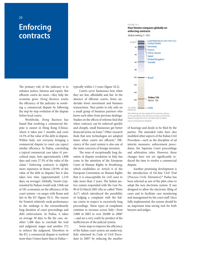# **Enforcing contracts**

The primary role of the judiciary is to enhance justice, fairness and equity. But efficient courts do more—they help the economy grow. *Doing Business* tracks the efficiency of the judiciary in resolving a commercial dispute by following the step-by-step evolution of the dispute before local courts.

Worldwide, *Doing Business* has found that resolving a commercial dispute is easiest in Hong Kong (China), where it takes just 7 months and costs 14.5% of the value of the debt in dispute. Within Italy, not everyone bringing a commercial dispute to court can expect similar efficiency. In Padua, concluding a typical commercial case takes 41 procedural steps, lasts approximately 1,808 days and costs 27.3% of the value of the claim.1 Enforcing contracts is slightly more expensive in Rome (29.9% of the value of the debt in dispute) but it also takes less time (approximately 1,210 days, on average). Globally, Veneto (represented by Padua) would rank 156th out of 181 economies on the efficiency of the court system—ex-aequo with Rome and last in the EU (figure 10.1). The reason for Veneto's relatively weak performance in the rankings is the extraordinarily long duration of court proceedings and debt enforcement. In Padua, it takes on average 30 days to file the case, another 1,406 days to conclude the trial and judgment stages and another 372 to enforce the judgment. Elsewhere in the EU, a commercial dispute is resolved more than 3 times faster than in Paduatypically within 1.5 years (figure 10.2).

Courts serve businesses best when they are fast, affordable and fair. In the absence of efficient courts, firms undertake fewer investment and business transactions. They prefer to rely only on a small group of business partners who know each other from previous dealings. Studies on the effects of reforms find that when contracts can be enforced quickly and cheaply, small businesses get better financial terms on loans.2 Other research finds that new technologies are adopted faster when courts are efficient.<sup>3</sup> Efficiency of the court system is also one of the main concerns of foreign investors.

The issue of exceptionally long duration of dispute resolution in Italy has come to the attention of the European Court of Human Rights in Strasbourg, which establishes in Article 6 of the European Convention on Human Rights that it is unacceptable for civil cases to take more than 3 years. The Italian justice system responded with the Law No. 89 of 24 March 2001 (the so-called "Pinto Act") which introduced the possibility of lodging a complaint with the Italian courts in respect to excessively long proceedings. These types of complaints continue to increase across Italy—from 5,000 in 2003 to over 20,000 in 20064 —and are a very costly by-product of the inefficiencies of the judicial system.

Some steps to improve the efficiency of the Italian court system are underway. Italy reformed its Code of Civil Procedure in 2005<sup>5</sup> by reducing the number

#### FIGURE 10.1 **How Veneto compares globally on enforcing contracts**

Global ranking (1–181)



Source: Doing Business database. on the procedures, time and cost to resolve a commercial dispute through the courts. See Data notes for details.

of hearings and deeds to be filed by the parties. The amended rules have also modified other aspects of the Italian Civil Procedure—such as the discipline of ad interim measures, enforcement procedures, the Supreme Court proceedings and arbitration rules. However, these changes have not yet significantly reduced the time to resolve a commercial dispute.

Another promising development is the introduction of On-line Civil Trial (*Processo Civile Telematico*).6 Padua has been selected as one of the pilot cities to adopt the new electronic system. It was designed to allow the electronic filing of cases and to facilitate case monitoring and management by the court staff. Once fully implemented, the system should be an important time-saving tool for both lawyers and judges.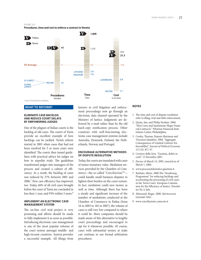FIGURE 10.2

**Procedures, time and cost to enforce a contract in Veneto**



#### **WHAT TO REFORM?**

#### **ELIMINATE CASE BACKLOG AND REDUCE COURT DELAYS BY EMPOWERING JUDGES**

One of the plagues of Italian courts is the backlog of old cases. The courts of Turin provide an excellent example of how backlogs can be tackled. Turin's reform started in 2001 when cases that had not been resolved for 3 or more years were identified. The courts then issued guidelines with practical advice for judges on how to expedite trials. The guidelines transformed judges into managers of the process and created a culture of efficiency. As a result, the backlog of cases was reduced by 27% between 2001 and 2006.7 New case efficiency has improved, too. Today, 66% of all civil cases brought before the court of Turin are concluded in less then 1 year, and 93% within 3 years.<sup>8</sup>

#### **IMPLEMENT AN ELECTRONIC CASE MANAGEMENT SYSTEM**

The on-line civil trial project is very promising and efforts should be made to fully implement it as soon as possible. Introducing electronic case management is one of the most popular reforms of the court system amongst middle- and high-income countries. Austria provides a successful example. All filings from

lawyers in civil litigation and enforcement proceedings now go through an electronic data channel operated by the Ministry of Justice. Judgments are delivered by e-mail rather than by the old hard-copy notification process. Other countries with well-functioning electronic case management systems include Australia, Denmark, Finland, the Netherlands, Norway and Portugal.

#### **ENCOURAGE ALTERNATIVE METHODS OF DISPUTE RESOLUTION**

Today, the courts are inundated with cases of minor monetary value. Mediation services provided by the Chamber of Commerce—the so-called "*Conciliazione*"9 could handle small business disputes to lighten their burden on the court system. In fact, mediation could save money as well as time. Although there has been a steady and significant increase of the number of mediations conducted at the Chamber of Commerce in Padua (from 16 in 2003 to 182 in 2007), the volume of cases is still very low compared to where it could be. More companies should be made aware of this alternative to lengthy court proceedings and encouraged to opt for it whenever possible. Of course, cases with substantial money at stake can continue to use formal arbitration procedures.

- 1. The time and cost of dispute resolution refer to filing, trial and debt enforcement.
- 2. Quian, Jun, and Philip Strahan. 2006. "How Laws and Institutions Shape Financial Contracts." Wharton Financial Institutions Center, Philadelphia.
- 3. Cooley, Thomas, Ramon Marimon and Vincenzo Quadrini. 2004. "Aggregate Consequences of Limited Contract Enforceability." *Journal of Political Economy* 112 (4): 817-47.
- 4. Corriere della Sera. "Gustizia, debiti record." 15 Dicembre 2007.
- 5. Decree of March 14, 2005, enacted as of March 1, 2006.
- 6. www.processotelematico.giustizia.it
- 7. Barbuto, Mario. 2008.The "Strasbourg Programme" for reducing backlogs and accelerating the processing of civil cases in the Turin Court. European Commission for the Efficiency of Justice. Newsletter No 3; July.
- 8. Abravanel, Roger. 2008. *Meritocrazia*. Garzanti Libri.
- 9. www.conciliazione.camcom.it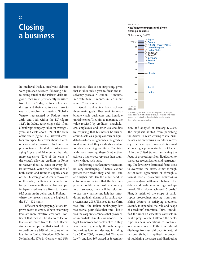# **Closing a business**

In medieval Padua, insolvent debtors were punished severely: following a humiliating ritual at the Palazzo della Ragione, they were permanently banished from the city. Today, debtors in financial distress and their creditors can turn to courts to resolve the situation. Globally, Veneto (represented by Padua) ranks 26th, and 11th within the EU (figure 11.1). In Padua, recovering a debt from a bankrupt company takes on average 2 years and costs about 15% of the value of the estate (figure 11.2). Overall, creditors can expect to recover about 61 cents on every dollar borrowed. In Rome, the process tends to be slightly faster (averaging 1 year and 10 months), but also more expensive (22% of the value of the estate), allowing creditors in Rome to recover about 57 cents on every dollar borrowed. While the performance of both Padua and Rome is slightly ahead of the EU average of 56 cents recovered on the dollar, the Italian cities lag behind top performers in this area. For example, in Japan, creditors are likely to recover 92.5 cents on the dollar, and in Finland where the recovery rates are highest in the EU—87.3 cents.

Efficient bankruptcy regulations improve access to credit. Where insolvency laws are more effective, creditors—confident that they will be able to collect on loans—are more likely to lend. Recent studies in Europe find that actual returns to creditors are 92% of the value of the loan in the United Kingdom, 80% in the Netherlands, 67% in Germany and 56%

in France.<sup>1</sup> This is not surprising, given that it takes only a year to finish the insolvency process in London, 13 months in Amsterdam, 15 months in Berlin, but almost 2 years in Paris.

Good bankruptcy laws achieve three main goals. They seek to rehabilitate viable businesses and liquidate unviable ones. They aim to maximize the value received by creditors, shareholders, employees and other stakeholders by requiring that businesses be turned around, sold as a going concern or liquidated—whichever generates the greatest total value. And they establish a system for clearly ranking creditors. Countries with laws meeting these 3 objectives achieve a higher recovery rate than countries without such laws.

Reforming a bankruptcy system can be very challenging. If banks cannot protect their credit, they lend less—and at a higher rate. On the other hand, if entrepreneurs believe that the law empowers creditors to push a company into insolvency, they will be reluctant to start new businesses. Italy has introduced gradual reforms of its bankruptcy system since 2003. The need for a reform was dire—the Italian bankruptcy law was over 60 years old at that time—but it was the corporate scandals that provided an immediate stimulus for reforms. The legal framework for bankruptcy in Italy was revised gradually through adopting various laws and decrees, including Law 347 of 2003, the so-called "Marzano Law"<sup>2</sup>, and Law 169 passed in September

#### FIGURE 11.1 **How Veneto compares globally on closing a business**

Global ranking (1–181)



Source: Doing Business database. Note: Rankings are based on the recovery rate: how many cents on the dollar claimants (creditors, tax authorities and employees) recover from the insolvent firm. See Data notes for details.

2007 and adopted on January 1, 2008. The emphasis shifted from punishing the debtor to restructuring viable businesses and maximizing creditors' recovery. The new legal framework is aimed at creating a process similar to Chapter 11 in the United States, transferring the focus of proceedings from liquidation to corporate reorganization and restructuring. The laws gave distressed firms tools to overcome the crisis, either through out-of-court agreements or through a formal rescue procedure (*concordato preventivo*)—a settlement between the debtor and creditors requiring court approval. The reform achieved 6 goals.<sup>3</sup> First, it redefined the scope of bankruptcy proceedings, moving from punishing debtors to satisfying creditors. Second, it expanded the role and scope of a creditors' committee. Third, it modified the rules on executory contracts in bankruptcy. Fourth, it allowed the bankrupt business' operations to continue as a going concern. Fifth, it introduced discharge from unpaid debt for natural persons. Sixth, it simplified the process of liquidating the assets and distributing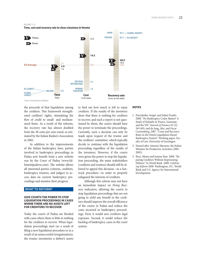FIGURE 11.2

**Time, cost and recovery rate to close a business in Veneto**



the proceeds of that liquidation among the creditors. This framework strengthened creditors' rights, stimulating the flow of credit to small- and mediumsized firms. As a result of the reforms, the recovery rate has almost doubled from the 38 cents per euro owed, as estimated by the Italian Bankers Association in 2002.

In addition to the improvements of the Italian bankruptcy laws, parties involved in bankruptcy proceedings in Padua now benefit from a new website run by the Court of Padua (www.fallimentipadova.com). The website allows all interested parties (citizens, creditors, bankruptcy trustees, and judges) to access data on current bankruptcy proceedings and monitor their progress.

#### **WHAT TO REFORM?**

#### **GIVE COURTS THE POWER TO STOP LIQUIDATION PROCEEDINGS IN CASES WHERE THERE ARE NO ASSETS LEFT FOR CREDITORS TO RECOVER**

Today the courts of Padua are flooded with cases where there is little to nothing for the creditors to recover. When liquidation proceedings start (as a result of filing a new liquidation procedure or as a result of an unsuccessful reorganization), the trustee inventories a debtor's assets to find out how much is left to repay creditors. If the results of the inventory show that there is nothing for creditors to recover, and such a report is not questioned by them, the courts should have the power to terminate the proceedings. Currently, such a decision can only be made upon request of the trustee and the creditors' committee, which typically decide to continue with the liquidation proceeding regardless of the results of the inventory. However, if the courts were given the power to stop the liquidation proceeding, the main stakeholders (creditors and trustees) should still be allowed to appeal this decision—in a fasttrack procedure—in order to properly safeguard the interests of creditors.

Although this reform may not have an immediate impact on *Doing Business* indicators, allowing the courts to stop liquidation proceedings that are not going to yield any benefit to the creditors should improve the overall efficiency of the courts in Padua and reduce the costs incurred in bankruptcy proceedings. First, it would save creditors legal expenses. Second, it would reduce the backlog of bankruptcy cases in the court system.

- 1. Davydenko, Sergei, and Julian Franks. 2008. "Do Bankruptcy Codes Matter? A Study of Defaults in France, Germany, and the UK." *Journal of Finance* 63 (2): 565-605; and de Jong, Abe, and Oscar Couwenberg. 2007. "Costs and Recovery Rates in the Dutch Liquidation-Based Bankruptcy System." Working paper, Faculty of Law, University of Groningen.
- 2. Named after Antonio Marzano, the Italian Minister for Productive Activities (2001- 2005).
- 3. Beye, Mema and Joanna Nasr. 2008. "Repaying Creditors Without Imprisoning Debtors." In World Bank. 2008. *Celebrating Reform 2008*. Washington, D.C. World Bank and U.S. Agency for International Development.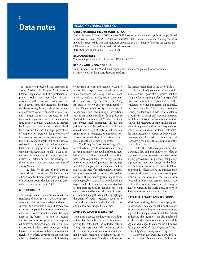# **Data notes**

### **ECONOMY CHARACTERISTICS**

#### **GROSS NATIONAL INCOME (GNI) PER CAPITA**

Doing Business in Veneto 2009 reports 2007 income per capita and population as published in the World Bank's *World Development Indicators 2008*. Income is calculated using the Atlas method (current US \$). For cost indicators expressed as a percentage of income per capita, 2007 GNI in local currency units is used as the denominator. Italy's GNI per capita in  $2007 = US $33,540$ 

#### **EXCHANGE RATE**

The exchange rate used in this report is US  $$1 = $0.77$ 

#### **REGION AND INCOME GROUP**

*Doing Business* uses the World Bank regional and income group classifications, available at http://www.worldbank.org/data/countryclass.

The indicators presented and analyzed in Doing Business in Veneto 2009 measure business regulation and the protection of property rights—and their effect on businesses, especially small and medium-size domestic firms. First, the indicators document the degree of regulation, such as the number of procedures to start a business or to register and transfer commercial property. Second, they gauge regulatory outcomes, such as the time and cost to enforce a contract, go through bankruptcy or trade across borders. Third, they measure the extent of legal protections of property, for example, the protections of investors against looting by company directors or the range of assets that can be used as collateral according to secured transactions laws. Fourth, they measure the flexibility of employment regulation. Finally, a set of indicators documents the tax burden on businesses. For details on how the rankings on these indicators are constructed, see Ease of Doing Business.

The data for all sets of indicators in Doing Business in Veneto 2009 are for June 2008, except for Rome, which was updated as of December 2008. The data for paying taxes refer to January–December 2007.

#### **METHODOLOGY**

The Doing Business data are collected in a standardized way. To start, the Doing Business team, with academic advisers, designs a survey. The survey uses a simple business case to ensure comparability across economies and over time—with assumptions about the legal form of the business, its size, its location and the nature of its operations. Surveys are administered through more than 6,700 local experts worldwide and 80 in Veneto, including lawyers, business consultants, accountants, freight forwarders, government officials and other professionals routinely administering or advising on legal and regulatory requirements. These experts have several rounds of interaction with the Doing Business team, involving conference calls, written correspondence and visits by the team. For Doing Business in Veneto 2009 the team members visited Padua twice to verify data and recruit respondents and had multiple interactions with them either directly or through Centro Studi at Unioncamere del Veneto. The team also invited local government officials and judges to review the preliminary results and offered them a right of reply period. The data from surveys are subjected to numerous tests for robustness, which lead to revisions or expansions of the information collected.

The Doing Business methodology offers several advantages. It is transparent, using factual information about what laws and regulations say and allowing multiple interactions with local respondents to clarify potential misinterpretations of questions. Having representative samples of respondents is not an issue, as the texts of the relevant laws and regulations are collected and answers checked for accuracy. The methodology is inexpensive and easily replicable, so data can be collected in a large sample of economies. Because standard assumptions are used in the data collection, comparisons and benchmarks are valid across economies. Finally, the data not only highlight the extent of specific regulatory obstacles to Doing Business but also identify their source and point to what might be reformed.

#### **LIMITS TO WHAT IS MEASURED**

The Doing Business methodology has 5 limitations that should be considered when interpreting the data. First, the collected data in Doing Business 2009 refer to businesses in the economy's largest business city and may not be representative of regulation in other parts of the economy. The data collected for the Veneto region refer to the city of Padua.

Second, the data often focus on a specific business form—generally a limited liability company (or its legal equivalent) of a specified size—and may not be representative of the regulation on other businesses, for example, sole proprietorships. Third, transactions described in a standardized case scenario refer to a specific set of issues and may not represent the full set of issues a business encounters. Fourth, the measures of time involve an element of judgment by the expert respondents. When sources indicate different estimates, the time indicators reported in Doing Business represent the median values of several responses given under the assumptions of the standardized case.

Finally, the methodology assumes that a business has full information on what is required and does not waste time when completing procedures. In practice, completing a procedure may take longer if the business lacks information or is unable to follow up promptly. Alternatively, the business may choose to disregard some burdensome procedures. For both reasons the time delays reported in Doing Business in Veneto 2009 could differ from the perceptions of entrepreneurs reported in the World Bank Enterprise Surveys or other perception surveys.

#### **DATA CHALLENGES AND REVISIONS**

Most laws and regulations underlying the *Doing Business* data are available on the *Doing Business* website at http://www.doingbusiness. org. All the sample surveys and the details underlying the indicators are also published on the website. Questions on the methodology and challenges to data can be submitted through the website's "Ask a Question" function at http://www.doingbusiness.org.

*Doing Business* publishes 8,900 indicators each year. To create these indicators,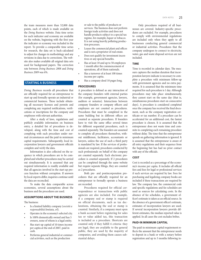the team measures more than 52,000 data points, each of which is made available on the *Doing Business* website. Data time series for each indicator and economy are available on the website, beginning with the first year the indicator or economy was included in the report. To provide a comparable time series for research, the data set is back-calculated to adjust for changes in methodology and any revisions in data due to corrections. The website also makes available all original data sets used for background papers. The correction rate between *Doing Business 2008* and *Doing Business 2009* was 6%.

#### **STARTING A BUSINESS**

Doing Business records all procedures that are officially required for an entrepreneur to start up and formally operate an industrial or commercial business. These include obtaining all necessary licenses and permits and completing any required notifications, verifications or inscriptions for the company and employees with relevant authorities.

After a study of laws, regulations and publicly available information on business entry, a detailed list of procedures is developed, along with the time and cost of complying with each procedure under normal circumstances and the paid-in minimum capital requirements. Subsequently, local incorporation lawyers and government officials complete and verify the data.

Information is also collected on the sequence in which procedures are to be completed and whether procedures may be carried out simultaneously. It is assumed that any required information is readily available and that all agencies involved in the start-up process function without corruption. If answers by local experts differ, inquiries continue until the data are reconciled.

To make the data comparable across economies, several assumptions about the business and the procedures are used.

#### **ASSUMPTIONS ABOUT THE BUSINESS**

The business:

- Is a limited liability company (società a *responsabilità limitata, srl*).
- Operates in the economy's selected city.
- Is 100% domestically owned and has 5 owners, none of whom is a legal entity.
- Has start-up capital of 10 times income per capita at the end of 2007, paid in cash.
- Performs general industrial or commercial activities, such as the production

or sale to the public of products or services. The business does not perform foreign trade activities and does not handle products subject to a special tax regime, for example, liquor or tobacco. It is not using heavily polluting production processes.

- Leases the commercial plant and offices and is not a proprietor of real estate.
- Does not qualify for investment incentives or any special benefits.
- Has at least 10 and up to 50 employees 1 month after the commencement of operations, all of them nationals.
- Has a turnover of at least 100 times income per capita.
- Has a company deed 10 pages long.

#### **PROCEDURES**

A procedure is defined as any interaction of the company founders with external parties (for example, government agencies, lawyers, auditors or notaries). Interactions between company founders or company officers and employees are not counted as procedures. Procedures that must be completed in the same building but in different offices are counted as separate procedures. If founders have to visit the same office several times for different sequential procedures, each is counted separately. The founders are assumed to complete all procedures themselves, without middlemen, facilitators, accountants or lawyers, unless the use of such a third party is mandated by law. If the services of professionals are required, procedures conducted by such professionals on behalf of the company are counted separately. Each electronic procedure is counted separately. If 2 procedures can be completed through the same website but require separate filings, they are counted as 2 procedures.

Both pre- and postincorporation procedures that are officially required for an entrepreneur to formally operate a business are recorded.

Procedures required for official correspondence or transactions with public agencies are also included. For example, if a company seal or stamp is required on official documents, such as tax declarations, obtaining the seal or stamp is counted. Similarly, if a company must open a bank account before registering for sales tax or value added tax, this transaction is included as a procedure. Shortcuts are counted only if they fulfill 4 criteria: they are legal, they are available to the general public, they are used by the majority of companies, and avoiding them causes substantial delays.

Only procedures required of all businesses are covered. Industry-specific procedures are excluded. For example, procedures to comply with environmental regulations are included only when they apply to all businesses conducting general commercial or industrial activities. Procedures that the company undergoes to connect to electricity, water, gas and waste disposal services are not included.

#### **TIME**

Time is recorded in calendar days. The measure captures the median duration that incorporation lawyers indicate is necessary to complete a procedure with minimum follow-up with government agencies and no extra payments. It is assumed that the minimum time required for each procedure is 1 day. Although procedures may take place simultaneously, they cannot start on the same day (that is, simultaneous procedures start on consecutive days). A procedure is considered completed once the company has received the final document, such as the company registration certificate or tax number. If a procedure can be accelerated for an additional cost, the fastest procedure is chosen. It is assumed that the entrepreneur does not waste time and commits to completing each remaining procedure without delay. The time that the entrepreneur spends on gathering information is ignored. It is assumed that the entrepreneur is aware of all entry regulations and their sequence from the beginning but has had no prior contact with any of the officials.

### **COST**

Cost is recorded as a percentage of the economy's income per capita. It includes all official fees and fees for legal or professional services if such services are required by law. Fees for purchasing and legalizing company books are included if these transactions are required by law. The company law, the commercial code and specific regulations and fee schedules are used as sources for calculating costs. In the absence of fee schedules, a government officer's estimate is taken as an official source. In the absence of a government officer's estimate, estimates of incorporation lawyers are used. If several incorporation lawyers provide different estimates, the median reported value is applied. In all cases the cost excludes bribes.

#### **PAID-IN MINIMUM CAPITAL**

The paid-in minimum capital requirement reflects the amount that the entrepreneur needs to deposit in a bank or with a notary before registration and up to 3 months following in-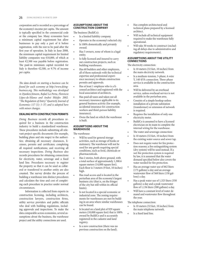corporation and is recorded as a percentage of the economy's income per capita. The amount is typically specified in the commercial code or the company law. Many economies have a minimum capital requirement but allow businesses to pay only a part of it before registration, with the rest to be paid after the first year of operation. In Italy in June 2008, the minimum capital requirement for limited liability companies was €10,000, of which at least €2,500 was payable before registration. The paid-in minimum capital recorded for Italy is therefore €2,500, or 9.7% of income per capita.

*The data details on starting a business can be found for each economy at http://www.doingbusiness.org. This methodology was developed in Djankov,Simeon, Rafael La Porta, Florencio López-de-Silanes and Andrei Shleifer. 2002. "The Regulation of Entry." Quarterly Journal of Economics 117 (1): 1–37; and is adopted here with minor changes*.

#### **DEALING WITH CONSTRUCTION PERMITS**

Doing Business records all procedures required for a business in the construction industry to build a standardized warehouse. These procedures include submitting all relevant project-specific documents (for example, building plans and site maps) to the authorities; obtaining all necessary clearances, licenses, permits and certificates; completing all required notifications; and receiving all necessary inspections. Doing Business also records procedures for obtaining connections for electricity, water, sewerage and a fixed land line. Procedures necessary to register the property so that it can be used as collateral or transferred to another entity are also counted. The survey divides the process of building a warehouse into distinct procedures and calculates the time and cost of completing each procedure in practice under normal circumstances.

Information is collected from experts in construction licensing, including architects, construction lawyers, construction firms, utility service providers and public officials who deal with building regulations, including approvals and inspections. To make the data comparable across economies, several assumptions about the business, the warehouse project and the utility connections are used.

#### **ASSUMPTIONS ABOUT THE CONSTRUCTION COMPANY**

The business (BuildCo):

- Is a limited liability company.
- Operates in the economy's selected city.
- Is 100% domestically and privately owned.
- Has 5 owners, none of whom is a legal entity.
- Is fully licensed and insured to carry out construction projects, such as building warehouses.
- Has 60 builders and other employees, all of them nationals with the technical expertise and professional experience necessary to obtain construction permits and approvals.
- Has at least 1 employee who is a licensed architect and registered with the local association of architects.
- Has paid all taxes and taken out all necessary insurance applicable to its general business activity (for example, accidental insurance for construction workers and third-person liability insurance).
- Owns the land on which the warehouse is built.

#### **ASSUMPTIONS ABOUT THE WAREHOUSE**

The warehouse:

- Will be used for general storage activities, such as storage of books or stationery. The warehouse will not be used for any goods requiring special conditions, such as food, chemicals or pharmaceuticals.
- Has 2 stories, both above ground, with a total surface of approximately 1,300.6 square meters (14,000 square feet). Each floor is 3 meters (9 feet, 10 inches) high.
- Has road access and is located in the periurban area of the economy's largest business city (that is, on the fringes of the city but still within its official limits).
- Is not located in a special economic or industrial zone. The zoning requirements for warehouses are met by building in an area where similar warehouses can be found.
- Is located on a land plot of 929 square meters (10,000 square feet) that is 100% owned by BuildCo and is accurately registered in the cadastre and land registry.
- Is a new construction (there was no previous construction on the land).
- Has complete architectural and technical plans prepared by a licensed architect.
- Will include all technical equipment required to make the warehouse fully operational.
- Will take 30 weeks to construct (excluding all delays due to administrative and regulatory requirements).

#### **ASSUMPTIONS ABOUT THE UTILITY CONNECTIONS**

The electricity connection:

- Is 10 meters (32 feet, 10 inches) from the main electricity network.
- Is a medium-tension, 3-phase, 4-wire Y, 140-kVA connection. Three-phase service is available in the construction area.
- Will be delivered by an overhead service, unless overhead service is not available in the periurban area.
- Consists of a simple hookup unless installation of a private substation (transformer) or extension of network is required.
- Requires the installation of only one electricity meter.
- BuildCo is assumed to have a licensed electrician on its team to complete the internal wiring for the warehouse.
- The water and sewerage connection:
- Is 10 meters (32 feet, 10 inches) from the existing water source and sewer tap.
- Does not require water for fire protection reasons; a fire extinguishing system (dry system) will be used instead. If a wet fire protection system is required by law, it is assumed that the water demand specified below also covers the water needed for fire protection.
- Has an average water use of 662 liters (175 gallons) a day and an average wastewater flow of 568 liters (150 gallons) a day.
- Has a peak water use of 1,325 liters (350 gallons) a day and a peak wastewater flow of 1,136 liters (300 gallons) a day.
- Will have a constant level of water demand and wastewater flow throughout the year.
- The telephone connection:
- Is 10 meters (32 feet, 10 inches) from the main telephone network.
- Is a fixed land line.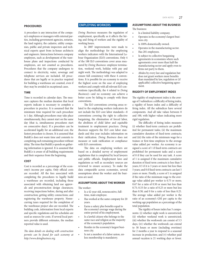#### **PROCEDURES**

A procedure is any interaction of the company's employees or managers with external parties, including government agencies, notaries, the land registry, the cadastre, utility companies, public and private inspectors and technical experts apart from in-house architects and engineers. Interactions between company employees, such as development of the warehouse plans and inspections conducted by employees, are not counted as procedures. Procedures that the company undergoes to connect to electricity, water, sewerage and telephone services are included. All procedures that are legally or in practice required for building a warehouse are counted, even if they may be avoided in exceptional cases.

#### **TIME**

Time is recorded in calendar days. The measure captures the median duration that local experts indicate is necessary to complete a procedure in practice. It is assumed that the minimum time required for each procedure is 1 day. Although procedures may take place simultaneously, they cannot start on the same day (that is, simultaneous procedures start on consecutive days). If a procedure can be accelerated legally for an additional cost, the fastest procedure is chosen. It is assumed that BuildCo does not waste time and commits to completing each remaining procedure without delay. The time that BuildCo spends on gathering information is ignored. It is assumed that BuildCo is aware of all building requirements and their sequence from the beginning.

#### **COST**

Cost is recorded as a percentage of the economy's income per capita. Only official costs are recorded. All the fees associated with completing the procedures to legally build a warehouse are recorded, including those associated with obtaining land use approvals and preconstruction design clearances; receiving inspections before, during and after construction; getting utility connections; and registering the warehouse property. Nonrecurring taxes required for the completion of the warehouse project also are recorded. The building code, information from local experts and specific regulations and fee schedules are used as sources for costs. If several local partners provide different estimates, the median reported value is used.

*The data details on dealing with construction permits can be found for each economy at http://www.doingbusiness.org.*

### **EMPLOYING WORKERS**

Doing Business measures the regulation of employment, specifically as it affects the hiring and firing of workers and the rigidity of working hours.

In 2007 improvements were made to align the methodology for the employing workers indicators with the International Labour Organization (ILO) conventions. Only 4 of the 188 ILO conventions cover areas measured by *Doing Business*: employee termination, weekend work, holiday with pay and night work. The methodology was adapted to ensure full consistency with these 4 conventions. It is possible for an economy to receive the highest score on the ease of employing workers and comply with all relevant ILO conventions (specifically, the 4 related to Doing Business)—and no economy can achieve a better score by failing to comply with these conventions.

The ILO conventions covering areas related to the employing workers indicators do not include the ILO core labor standards-8 conventions covering the right to collective bargaining, the elimination of forced labor, the abolition of child labor and equitable treatment in employment practices. Doing Business supports the ILO core labor standards and this year includes information on their ratification. Doing Business does not measure or rank ratification or compliance with ILO conventions.

The data on employing workers are based on a detailed survey of employment regulations that is completed by local lawyers and public officials. Employment laws and regulations as well as secondary sources are reviewed to ensure accuracy. To make the data comparable across economies, several assumptions about the worker and the business are used.

#### **ASSUMPTIONS ABOUT THE WORKER**

The worker:

- Is a 42-year-old, nonexecutive, fulltime, male employee.
- Has worked at the same company for 20 years.
- Earns a salary plus benefits equal to the economy's average wage during the entire period of his employment.
- Is a lawful citizen who belongs to the same race and religion as the majority of the economy's population.
- Resides in the economy's largest business city.
- Is not a member of a labor union, unless membership is mandatory.

#### **ASSUMPTIONS ABOUT THE BUSINESS**

The business:

- Is a limited liability company.
- Operates in the economy's largest business city.
- Is 100% domestically owned.
- Operates in the manufacturing sector.
- Has 201 employees.
- Is subject to collective bargaining agreements in economies where such agreements cover more than half the manufacturing sector and apply even to firms not party to them.
- Abides by every law and regulation but does not grant workers more benefits than mandated by law, regulation or (if applicable) collective bargaining agreement.

#### **RIGIDITY OF EMPLOYMENT INDEX**

The rigidity of employment index is the average of 3 subindices: a difficulty of hiring index, a rigidity of hours index and a difficulty of firing index. All the subindices have several components. And all take values between 0 and 100, with higher values indicating more rigid regulation.

The difficulty of hiring index measures (i) whether fixed-term contracts are prohibited for permanent tasks; (ii) the maximum cumulative duration of fixed-term contracts; and (iii) the ratio of the minimum wage for a trainee or first-time employee to the average value added per worker. An economy is assigned a score of 1 if fixed-term contracts are prohibited for permanent tasks and a score of 0 if they can be used for any task. A score of 1 is assigned if the maximum cumulative duration of fixed-term contracts is less than 3 years; 0.5 if it is 3 years or more but less than 5 years; and 0 if fixed-term contracts can last 5 years or more. Finally, a score of 1 is assigned if the ratio of the minimum wage to the average value added per worker is 0.75 or more; 0.67 for a ratio of 0.50 or more but less than 0.75; 0.33 for a ratio of 0.25 or more but less than 0.50; and 0 for a ratio of less than 0.25. The average value added per worker is the ratio of an economy's GNI per capita to the working-age population as a percentage of the total population.

The rigidity of hours index has 5 components: (i) whether night work is unrestricted; (ii) whether weekend work is unrestricted; (iii) whether the workweek can consist of 5.5 days; (iv) whether the workweek can extend to 50 hours or more (including overtime) for 2 months a year to respond to a seasonal increase in production; and (v) whether paid annual vacation is 21 working days or fewer.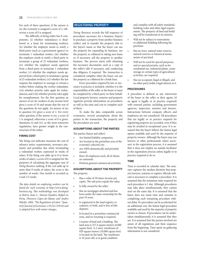For each of these questions, if the answer is no, the economy is assigned a score of 1; otherwise a score of 0 is assigned.

The difficulty of firing index has 8 components: (i) whether redundancy is disallowed as a basis for terminating workers; (ii) whether the employer needs to notify a third party (such as a government agency) to terminate 1 redundant worker; (iii) whether the employer needs to notify a third party to terminate a group of 25 redundant workers; (iv) whether the employer needs approval from a third party to terminate 1 redundant worker; (v) whether the employer needs approval from a third party to terminate a group of 25 redundant workers; (vi) whether the law requires the employer to reassign or retrain a worker before making the worker redundant; (vii) whether priority rules apply for redundancies; and (viii) whether priority rules apply for reemployment. For the first question an answer of yes for workers of any income level gives a score of 10 and means that the rest of the questions do not apply. An answer of yes to question (iv) gives a score of 2. For every other question, if the answer is yes, a score of 1 is assigned; otherwise a score of 0 is given. Questions (i) and (iv), as the most restrictive regulations, have greater weight in the construction of the index.

#### **FIRING COST**

The firing cost indicator measures the cost of advance notice requirements, severance payments and penalties due when terminating a redundant worker, expressed in weeks of salary. If the firing cost adds up to 8 or fewer weeks of salary, a score of 0 is assigned for the purposes of calculating the aggregate ease of *Doing Business* ranking. If the cost adds up to more than 8 weeks of salary, the score is the number of weeks. One month is recorded as 4 and 1/3 weeks.

*The data details on employing workers can be found for each economy at http://www.doingbusiness.org. This methodology was developed in Botero, Juan C., Simeon Djankov, Rafael La Porta, Florencio López-de-Silanes and Andrei Shleifer. 2004. "The Regulation of Labor." Quarterly Journal of Economics 119 (4):1339-82 and is adopted here with minor changes.*

#### **REGISTERING PROPERTY**

Doing Business records the full sequence of procedures necessary for a business (buyer) to purchase a property from another business (seller) and to transfer the property title to the buyer's name so that the buyer can use the property for expanding its business, use the property as collateral in taking new loans or, if necessary, sell the property to another business. The process starts with obtaining the necessary documents, such as a copy of the seller's title if necessary, and conducting due diligence if required. The transaction is considered complete when the buyer can use the property as collateral for a bank loan.

Every procedure required by law or necessary in practice is included, whether it is the responsibility of the seller or the buyer or must be completed by a third party on their behalf. Local property lawyers, notaries and property registries provide information on procedures as well as the time and cost to complete each of them.

To make the data comparable across economies, several assumptions about the parties to the transaction, the property and the procedures are used.

#### **ASSUMPTIONS ABOUT THE PARTIES**

The parties (buyer and seller):

- Are limited liability companies.
- Are located in the periurban area of the economy's selected city.
- Are 100% domestically and privately owned.
- Have 50 employees each, all of whom are nationals.
- Perform general commercial activities.

### **ASSUMPTIONS ABOUT THE PROPERTY** The property:

- Has a value of 50 times income per capita. The sale price equals the value.
- Is fully owned by the seller.
- Has no mortgages attached and has been under the same ownership for the past 10 years.
- Is registered in the land registry or cadastre, or both, and is free of title disputes.
- Is located in a periurban commercial zone, and no rezoning is required.
- Consists of land and a building. The land area is 557.4 square meters (6,000 square feet). A 2-story warehouse of 929 square meters (10,000 square feet) is located on the land. The warehouse is 10 years old, is in good condition

and complies with all safety standards, building codes and other legal requirements. The property of land and building will be transferred in its entirety.

- Will not be subject to renovations or additional building following the purchase.
- Has no trees, natural water sources, natural reserves or historical monuments of any kind.
- Will not be used for special purposes, and no special permits, such as for residential use, industrial plants, waste storage or certain types of agricultural activities, are required.
- Has no occupants (legal or illegal), and no other party holds a legal interest in it.

#### **PROCEDURES**

A procedure is defined as any interaction of the buyer or the seller or their agents (if an agent is legally or in practice required) with external parties, including government agencies, inspectors, notaries and lawyers. Interactions between company officers and employees are not considered. All procedures that are legally or in practice required for registering property are recorded, even if they may be avoided in exceptional cases. It is assumed that the buyer follows the fastest legal option available and used by the majority of property owners. Although the buyer may use lawyers or other professionals where necessary in the registration process, it is assumed that it does not employ an outside facilitator in the registration process unless legally or in practice required to do so.

#### **TIME**

Time is recorded in calendar days. The measure captures the median duration that property lawyers, notaries or registry officials indicate is necessary to complete a procedure. It is assumed that the minimum time required for each procedure is 1 day. Although procedures may take place simultaneously, they cannot start on the same day. It is assumed that the buyer does not waste time and commits to completing each remaining procedure without delay. If a procedure can be accelerated for an additional cost, the fastest legal procedure available and used by the majority of property owners is chosen. If procedures can be undertaken simultaneously, it is assumed that they are. It is assumed that the parties involved are aware of all regulations and their sequence from the beginning. Time spent on gathering information is not considered.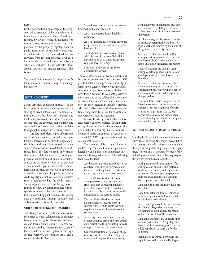#### **COST**

Cost is recorded as a percentage of the property value, assumed to be equivalent to 50 times income per capita. Only official costs required by law are recorded, including fees, transfer taxes, stamp duties and any other payment to the property registry, notaries, public agencies or lawyers. Other taxes, such as capital gains tax or value added tax, are excluded from the cost measure. Both costs borne by the buyer and those borne by the seller are included. If cost estimates differ among sources, the median reported value is used.

*The data details on registering property can be found for each economy at http://www.doingbusiness.org.* 

#### **GETTING CREDIT**

Doing Business constructs measures of the legal rights of borrowers and lenders and the sharing of credit information. The first set of indicators describes how well collateral and bankruptcy laws facilitate lending. The second set measures the coverage, scope, quality and accessibility of credit information available through public and private credit registries.

The data on the legal rights of borrowers and lenders are gathered through a survey of financial lawyers and verified through analysis of laws and regulations as well as public sources of information on collateral and bankruptcy laws. The data on credit information sharing are built in 2 stages. First, banking supervision authorities and public information sources are surveyed to confirm the presence of public credit registries and private credit information bureaus. Second, when applicable, a detailed survey on the public or private credit registry's structure, law and associated rules is administered to the credit registry. Survey responses are verified through several rounds of follow-up communication with respondents as well as by contacting third parties and consulting public sources. The survey data are confirmed through teleconference calls or on-site visits in all economies.

#### **STRENGTH OF LEGAL RIGHTS INDEX**

The strength of legal rights index measures the degree to which collateral and bankruptcy laws protect the rights of borrowers and lenders and thus facilitate lending. Two case scenarios are used to determine the scope of the secured transactions system, involving a secured borrower, the company ABC, and a secured lender, BizBank.

Several assumptions about the secured borrower and lender are used:

- ABC is a domestic, limited liability company.
- ABC has its headquarters and only base of operations in the economy's largest business city.
- To fund its business expansion plans, ABC obtains a loan from BizBank for an amount up to 10 times income per capita in local currency.
- Both ABC and BizBank are 100% domestically owned.

The case scenarios also involve assumptions. In case A, as collateral for the loan, ABC grants BizBank a nonpossessory security interest in one category of revolving movable assets, for example, its accounts receivable or its inventory. ABC wants to keep both possession and ownership of the collateral. In economies in which the law does not allow nonpossessory security interests in movable property, ABC and BizBank use a fiduciary transfer-oftitle arrangement (or a similar substitute for nonpossessory security interests).

In case B, ABC grants BizBank a business charge, enterprise charge, floating charge or any charge or combination of charges that gives BizBank a security interest over ABC's combined assets (or as much of ABC's assets as possible). ABC keeps ownership and possession of the assets.

The strength of legal rights index includes 8 aspects related to legal rights in collateral law and 2 aspects in bankruptcy law. A score of 1 is assigned for each of the following features of the laws:

- Any business may use movable assets as collateral while keeping possession of the assets, and any financial institution may accept such assets as collateral.
- The law allows a business to grant a nonpossessory security right in a single category of revolving movable assets (such as accounts receivable or inventory), without requiring a specific description of the secured assets.
- The law allows a business to grant a nonpossessory security right in substantially all of its assets, without requiring a specific description of the secured assets.
- A security right may extend to future or after-acquired assets and may extend automatically to the products, proceeds or replacements of the original assets.
- General description of debts and obligations is permitted in collateral agreements and in registration documents,

so that all types of obligations and debts can be secured by stating a maximum rather than a specific amount between the parties.

- A collateral registry is in operation that is unified geographically and by asset type and that is indexed by the name of the grantor of a security right.
- Secured creditors are paid first (for example, before general tax claims and employee claims) when a debtor defaults outside an insolvency procedure.
- Secured creditors are paid first (for example, before general tax claims and employee claims) when a business is liquidated.
- Secured creditors are not subject to an automatic stay or moratorium on enforcement procedures when a debtor enters a court-supervised reorganization procedure.
- The law allows parties to agree in a collateral agreement that the lender may enforce its security right out of court.
- The index ranges from 0 to 10, with higher scores indicating that collateral and bankruptcy laws are better designed to expand access to credit.

#### **DEPTH OF CREDIT INFORMATION INDEX**

The depth of credit information index measures rules affecting the scope, accessibility and quality of credit information available through either public or private credit registries. A score of 1 is assigned for each of the following 6 features of the public registry or the private credit bureau (or both):

- Both positive credit information (for example, loan amounts and pattern of on-time repayments) and negative information (for example, late payments, number and amount of defaults and bankruptcies) are distributed.
- Data on both firms and individuals are distributed.
- Data from retailers, trade creditors or utility companies as well as financial institutions are distributed.
- More than 2 years of historical data are distributed. Registries that erase data on defaults as soon as they are repaid obtain a score of 0 for this indicator.
- Data on loans below 1% of income per capita are distributed. A registry must have a minimum coverage of 1% of the adult population to score a 1 for this indicator.
- Regulations guarantee borrowers the right to access their data in the largest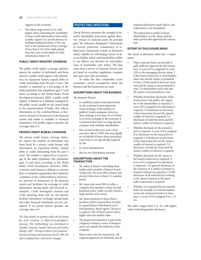registry in the economy.

The index ranges from 0 to 6, with higher values indicating the availability of more credit information, from either a public registry or a private bureau, to facilitate lending decisions. If the registry is not operational or has coverage of less than 0.1% of the adult population, the score on the depth of credit information index is 0.

#### **PUBLIC CREDIT REGISTRY COVERAGE**

The public credit registry coverage indicator reports the number of individuals and firms listed in a public credit registry with information on repayment history, unpaid debts or credit outstanding from the past 5 years. The number is expressed as a percentage of the adult population (the population aged 15 and above according to the World Bank's *World Development Indicators 2008*). A public credit registry is defined as a database managed by the public sector, usually by the central bank or the superintendent of banks, that collects information on the creditworthiness of borrowers (persons or businesses) in the financial system and makes it available to financial institutions. If no public registry operates, the coverage value is 0.

#### **PRIVATE CREDIT BUREAU COVERAGE**

The private credit bureau coverage indicator reports the number of individuals and firms listed by a private credit bureau with information on repayment history, unpaid debts or credit outstanding from the past 5 years. The number is expressed as a percentage of the adult population (the population aged 15 and above according to the World Bank's *World Development Indicators 2008*). A private credit bureau is defined as a private firm or nonprofit organization that maintains a database on the creditworthiness of borrowers (persons or businesses) in the financial system and facilitates the exchange of credit information among banks and financial institutions. Credit investigative bureaus and credit reporting firms that do not directly facilitate information exchange among banks and other financial institutions are not considered. If no private bureau operates, the coverage value is 0.

*The data details on getting credit can be found for each economy at http://www.doingbusiness.org. This methodology was developed in Djankov, Simeon, Caralee McLiesh and Andrei Shleifer. 2007. "Private Credit in 129 Countries." Journal of Financial Economics 84 (2): 299-329 and is adopted here with minor changes.*

### **PROTECTING INVESTORS**

Doing Business measures the strength of minority shareholder protections against directors' misuse of corporate assets for personal gain. The indicators distinguish 3 dimensions of investor protection: transparency of related-party transactions (extent of disclosure index), liability for self-dealing (extent of director liability index) and shareholders' ability to sue officers and directors for misconduct (ease of shareholder suits index). The data come from a survey of corporate lawyers and are based on securities regulations, company laws and court rules of evidence.

To make the data comparable across economies, several assumptions about the business and the transaction are used.

#### **ASSUMPTIONS ABOUT THE BUSINESS**

The business (buyer):

- Is a publicly traded corporation listed on the economy's most important stock exchange. If the number of publicly traded companies listed on that exchange is less than 10, or if there is no stock exchange in the economy, it is assumed that buyer is a large private company with multiple shareholders.
- Has a board of directors and a chief executive officer (CEO) who may legally act on behalf of buyer where permitted, even if this is not specifically required by law.
- Is a food manufacturer.
- Has its own distribution network.

#### **ASSUMPTIONS ABOUT THE TRANSACTION**

- Mr. James is buyer's controlling shareholder and a member of buyer's board of directors. He owns 60% of buyer and elected 2 directors to buyer's 5-member board.
- Mr. James also owns 90% of seller, a company that operates a chain of retail hardware stores. Seller recently closed a large number of its stores.
- Mr. James proposes to buyer that it purchase seller's unused fleet of trucks to expand buyer's distribution of its food products. Buyer agrees. The price is equal to 10% of buyer's assets and is higher than the market value.
- The proposed transaction is part of the company's ordinary course of business and is not outside the authority of the company.
- Buyer enters into the transaction. All required approvals are obtained, and all

required disclosures made (that is, the transaction is not fraudulent).

The transaction is unfair to buyer. Shareholders sue Mr. James and the other parties that approved the transaction.

#### **EXTENT OF DISCLOSURE INDEX**

The extent of disclosure index has 5 components:

- What corporate body can provide legally sufficient approval for the transaction. A score of 0 is assigned if it is the CEO or the managing director alone; 1 if the board of directors or shareholders must vote and Mr. James is permitted to vote; 2 if the board of directors must vote and Mr. James is not permitted to vote; 3 if shareholders must vote and Mr. James is not permitted to vote.
- Whether immediate disclosure of the transaction to the public, the regulator or the shareholders is required. A score of 0 is assigned if no disclosure is required; 1 if disclosure on the terms of the transaction but not Mr. James's conflict of interest is required; 2 if disclosure on both the terms and Mr. James's conflict of interest is required.
- Whether disclosure in the annual report is required. A score of 0 is assigned if no disclosure on the transaction is required; 1 if disclosure on the terms of the transaction but not Mr. James's conflict of interest is required; 2 if disclosure on both the terms and Mr. James's conflict of interest is required.
- Whether disclosure by Mr. James to the board of directors is required. A score of 0 is assigned if no disclosure is required; 1 if a general disclosure of the existence of a conflict of interest is required without any specifics; 2 if full disclosure of all material facts relating to Mr. James's interest in the buyerseller transaction is required.
- Whether it is required that an external body, for example, an external auditor, review the transaction before it takes place. A score of 0 is assigned if no; 1 if yes.

The index ranges from 0 to 10, with higher values indicating greater disclosure.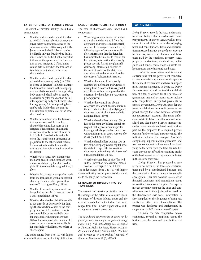#### **EXTENT OF DIRECTOR LIABILITY INDEX**

The extent of director liability index has 7 components:

- Whether a shareholder plaintiff is able to hold Mr. James liable for damage the buyer-seller transaction causes to the company. A score of 0 is assigned if Mr. James cannot be held liable or can be held liable only for fraud or bad faith; 1 if Mr. James can be held liable only if he influenced the approval of the transaction or was negligent; 2 if Mr. James can be held liable when the transaction is unfair or prejudicial to the other shareholders.
- Whether a shareholder plaintiff is able to hold the approving body (the CEO or board of directors) liable for damage the transaction causes to the company. A score of 0 is assigned if the approving body cannot be held liable or can be held liable only for fraud or bad faith; 1 if the approving body can be held liable for negligence; 2 if the approving body can be held liable when the transaction is unfair or prejudicial to the other shareholders.
- Whether a court can void the transaction upon a successful claim by a shareholder plaintiff. A score of 0 is assigned if rescission is unavailable or is available only in case of fraud or bad faith; 1 if rescission is available when the transaction is oppressive or prejudicial to the other shareholders; 2 if rescission is available when the transaction is unfair or entails a conflict of interest.
- Whether Mr. James pays damages for the harm caused to the company upon a successful claim by the shareholder plaintiff. A score of 0 is assigned if no; 1 if yes.
- Whether Mr. James repays profits made from the transaction upon a successful claim by the shareholder plaintiff. A score of 0 is assigned if no; 1 if yes.
- Whether fines and imprisonment can be applied against Mr. James. A score of 0 is assigned if no; 1 if yes.
- Whether shareholder plaintiffs are able to sue directly or derivatively for damage the transaction causes to the company. A score of 0 is assigned if suits are unavailable or are available only for shareholders holding more than 10% of the company's share capital; 1 if direct or derivative suits are available for shareholders holding 10% or less of share capital.

 The index ranges from 0 to 10, with higher values indicating greater liability of directors.

#### **EASE OF SHAREHOLDER SUITS INDEX**

The ease of shareholder suits index has 6 components:

- What range of documents is available to the shareholder plaintiff from the defendant and witnesses during trial. A score of 1 is assigned for each of the following types of documents available: information that the defendant has indicated he intends to rely on for his defense; information that directly proves specific facts in the plaintiff 's claim; any information relevant to the subject matter of the claim; and any information that may lead to the discovery of relevant information.
- Whether the plaintiff can directly examine the defendant and witnesses during trial. A score of 0 is assigned if no; 1 if yes, with prior approval of the questions by the judge; 2 if yes, without prior approval.
- Whether the plaintiff can obtain categories of relevant documents from the defendant without identifying each document specifically. A score of 0 is assigned if no; 1 if yes.
- Whether shareholders owning 10% or less of the company's share capital can request that a government inspector investigate the buyer-seller transaction without filing suit in court. A score of 0 is assigned if no; 1 if yes.
- Whether shareholders owning 10% or less of the company's share capital have the right to inspect the transaction documents before filing suit. A score of 0 is assigned if no; 1 if yes.
- Whether the standard of proof for civil suits is lower than for a criminal case. A score of 0 is assigned if no; 1 if yes.

The index ranges from 0 to 10, with higher values indicating greater powers of shareholders to challenge the transaction.

#### **STRENGTH OF INVESTOR PROTEC-TION INDEX**

The strength of investor protection index is the average of the extent of disclosure index, the extent of director liability index and the ease of shareholder suits index. The index ranges from 0 to 10, with higher values indicating more investor protection.

*The data details on protecting investors can be found for each economy at http://www.doingbusiness.org. This methodology was developed in Djankov, Rafael La Porta, Florencio Lópezde-Silanes and Andrei Shleifer. 2008. "The Law and Economics of Self-Dealing." Journal of Financial Economics 88 (3): 430-65.* 

#### **PAYING TAXES**

Doing Business records the taxes and mandatory contributions that a medium-size company must pay in a given year, as well as measures of the administrative burden of paying taxes and contributions. Taxes and contributions measured include the profit or corporate income tax, social contributions and labor taxes paid by the employer, property taxes, property transfer taxes, dividend tax, capital gains tax, financial transactions tax, waste collection taxes and vehicle and road taxes.

Doing Business measures all taxes and contributions that are government mandated (at any level—federal, state or local), apply to the standardized business and have an impact in its income statements. In doing so, Doing Business goes beyond the traditional definition of a tax: as defined for the purposes of government national accounts, taxes include only compulsory, unrequited payments to general government. Doing Business departs from this definition because it measures imposed charges that affect business accounts, not government accounts. The main differences relate to labor contributions and value added tax. The Doing Business measure includes government-mandated contributions paid by the employer to a requited private pension fund or workers' insurance fund. The indicator includes, for example, Australia's compulsory superannuation guarantee and workers' compensation insurance. It excludes value added taxes from the total tax rate because they do not affect the accounting profits of the business—that is, they are not reflected in the income statement.

Doing Business has prepared a case scenario to measure the taxes and contributions paid by a standardized business and the complexity of an economy's tax compliance system. This case scenario uses a set of financial statements and assumptions about transactions made over the year. Tax experts in each economy compute the taxes and contributions due in their jurisdiction based on the standardized case facts. Information is also compiled on the frequency of filing, tax audits and other costs of compliance. The project was developed and implemented in cooperation with PricewaterhouseCoopers.

To make the data comparable across economies, several assumptions about the business and the taxes and contributions are used.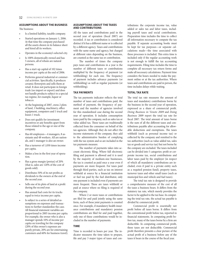#### **ASSUMPTIONS ABOUT THE BUSINESS**

The business:

- Is a limited liability, taxable company.
- Started operations on January 1, 2006. At that time the company purchased all the assets shown in its balance sheet and hired all its workers.
- Operates in the economy's selected city.
- Is 100% domestically owned and has 5 owners, all of whom are natural persons.
- Has a start-up capital of 102 times income per capita at the end of 2006.
- Performs general industrial or commercial activities. Specifically, it produces ceramic flowerpots and sells them at retail. It does not participate in foreign trade (no import or export) and does not handle products subject to a special tax regime, for example, liquor or tobacco.
- At the beginning of 2007, owns 2 plots of land, 1 building, machinery, office equipment, computers and 1 truck and leases 1 truck.
- Does not qualify for investment incentives or any benefits apart from those related to the age or size of the company.
- Has 60 employees—4 managers, 8 assistants and 48 workers. All are nationals, and 1 manager is also an owner.
- Has a turnover of 1,050 times income per capita.
- Makes a loss in the first year of operation.
- Has a gross margin (pretax) of 20% (that is, sales are 120% of the cost of goods sold).
- Distributes 50% of its net profits as dividends to the owners at the end of the second year.
- Sells one of its plots of land at a profit during the second year.
- Has annual fuel costs for its trucks equal to twice income per capita.
- Is subject to a series of detailed assumptions on expenses and transactions to further standardize the case. All financial statement variables are proportional to 2005 income per capita. For example, the owner who is also a manager spends 10% of income per capita on traveling for the company (20% of this owner's expenses are purely private, 20% are for entertaining customers and 60% for business travel).

#### **ASSUMPTIONS ABOUT THE TAXES AND CONTRIBUTIONS**

All the taxes and contributions paid in the second year of operation (fiscal 2007) are recorded. A tax or contribution is considered distinct if it has a different name or is collected by a different agency. Taxes and contributions with the same name and agency, but charged at different rates depending on the business, are counted as the same tax or contribution.

The number of times the company pays taxes and contributions in a year is the number of different taxes or contributions multiplied by the frequency of payment (or withholding) for each one. The frequency of payment includes advance payments (or withholding) as well as regular payments (or withholding).

#### **TAX PAYMENTS**

The tax payments indicator reflects the total number of taxes and contributions paid, the method of payment, the frequency of payment and the number of agencies involved for this standardized case during the second year of operation. It includes consumption taxes paid by the company, such as sales tax or value added tax. These taxes are traditionally collected from the consumer on behalf of the tax agencies. Although they do not affect the income statements of the company, they add to the administrative burden of complying with the tax system and so are included in the tax payments measure.

The number of payments takes into account electronic filing. Where full electronic filing and payment is allowed and it is used by the majority of medium-size businesses, the tax is counted as paid once a year even if payments are more frequent. For taxes paid through third parties, such as tax on interest withheld at source by a financial institution or fuel tax paid by the fuel distributor, only one payment is included even if payments are more frequent. These are taxes withheld or paid at source where no filing is required of the company.

Where 2 or more taxes or contributions are filed for and paid jointly using the same form, each of these joint payments is counted once. For example, if mandatory health insurance contributions and mandatory pension contributions are filed for and paid together, only one of these contributions would be included in the number of payments.

#### **TIME**

Time is recorded in hours per year. The indicator measures the time taken to prepare, file and pay 3 major types of taxes and contributions: the corporate income tax, value added or sales tax and labor taxes, including payroll taxes and social contributions. Preparation time includes the time to collect all information necessary to compute the tax payable. If separate accounting books must be kept for tax purposes—or separate calculations made—the time associated with these processes is included. This extra time is included only if the regular accounting work is not enough to fulfill the tax accounting requirements. Filing time includes the time to complete all necessary tax return forms and make all necessary calculations. Payment time considers the hours needed to make the payment online or at the tax authorities. Where taxes and contributions are paid in person, the time includes delays while waiting.

#### **TOTAL TAX RATE**

The total tax rate measures the amount of taxes and mandatory contributions borne by the business in the second year of operation, expressed as a share of commercial profit. Doing Business in Veneto 2009 and Doing Business 2009 report the total tax rate for fiscal 2007. The total amount of taxes borne is the sum of all the different taxes and contributions payable after accounting for allowable deductions and exemptions. The taxes withheld (such as personal income tax) or collected by the company and remitted to the tax authorities (such as value added tax, sales tax or goods and service tax) but not borne by the company are excluded. The taxes included can be divided into 5 categories: profit or corporate income tax, social contributions and labor taxes paid by the employer (in respect of which all mandatory contributions are included, even if paid to a private entity such as a requited pension fund), property taxes, turnover taxes and other small taxes (such as municipal fees and vehicle and fuel taxes).

The total tax rate is designed to provide a comprehensive measure of the cost of all the taxes a business bears. It differs from the statutory tax rate, which merely provides the factor to be applied to the tax base. In computing the total tax rate, the actual tax payable is divided by commercial profit.

Commercial profit is essentially net profit before all taxes borne. It differs from the conventional profit before tax, reported in financial statements. In computing profit before tax, many of the taxes borne by a firm are deductible. In computing commercial profit, these taxes are not deductible. Commercial profit therefore presents a clear picture of the actual profit of a business before any of the taxes it bears in the course of the fiscal year.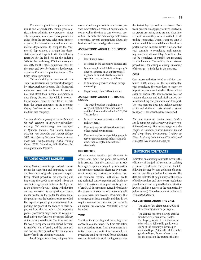Commercial profit is computed as sales minus cost of goods sold, minus gross salaries, minus administrative expenses, minus other expenses, minus provisions, plus capital gains (from the property sale) minus interest expense, plus interest income and minus commercial depreciation. To compute the commercial depreciation, a straight-line depreciation method is applied, with the following rates: 0% for the land, 5% for the building, 10% for the machinery, 33% for the computers, 20% for the office equipment, 20% for the truck and 10% for business development expenses. Commercial profit amounts to 59.4 times income per capita.

This methodology is consistent with the Total Tax Contribution framework developed by PricewaterhouseCoopers. This framework measures taxes that are borne by companies and affect their income statements, as does Doing Business. But while PricewaterhouseCoopers bases its calculation on data from the largest companies in the economy, Doing Business focuses on a standardized medium-size company.

*The data details on paying taxes can be found for each economy at http://www.doingbusiness.org. This methodology was developed in Djankov, Simeon, Tim Ganser, Caralee McLiesh, Rita Ramalho and Andrei Shleifer. 2008. The Effect of Corporate Taxes on Investment and Entrepreneurship. NBER Working Paper 13756. Cambridge, MA: National Bureau of Economic Research.* 

#### **TRADING ACROSS BORDERS**

Doing Business compiles procedural requirements for exporting and importing a standardized cargo of goods by ocean transport. Every official procedure for exporting and importing the goods is recorded—from the contractual agreement between the 2 parties to the delivery of goods—along with the time and cost necessary for completion. All documents needed by the trader for clearance of the goods across the border are also recorded. For exporting goods, procedures range from packing the goods at the factory to their departure from the port of exit. For importing goods, procedures range from the vessel's arrival at the port of entry to the cargo's delivery at the factory warehouse. The time and cost for ocean transport are not included. Payment is made by letter of credit, and the time, cost and documents required for the issuance of a letter of credit are taken into account.

Local freight forwarders, shipping lines,

customs brokers, port officials and banks provide information on required documents and cost as well as the time to complete each procedure. To make the data comparable across economies, several assumptions about the business and the traded goods are used.

#### **ASSUMPTIONS ABOUT THE BUSINESS**

The business:

- Has 60 employees.
- Is located in the economy's selected city.
- Is a private, limited liability company. It does not operate in an export processing zone or an industrial estate with special export or import privileges.
- Is domestically owned with no foreign ownership.
- Exports more than 10% of its sales.

#### **ASSUMPTIONS ABOUT THE TRADED GOODS**

- The traded product travels in a drycargo, 20-foot, full container load. It weighs 10 tons and is valued at \$20,000. The product:
- Is not hazardous nor does it include military items.
- Does not require refrigeration or any other special environment.
- Does not require any special phytosanitary or environmental safety standards other than accepted international standards.

#### **DOCUMENTS**

All documents required per shipment to export and import the goods are recorded. It is assumed that the contract has already been agreed upon and signed by both parties. Documents required for clearance by government ministries, customs authorities, port and container terminal authorities, health and technical control agencies and banks are taken into account. Since payment is by letter of credit, all documents required by banks for the issuance or securing of a letter of credit are also taken into account. Documents that are renewed at least annually and that do not require renewal per shipment (for example, an annual tax clearance certificate) are not included.

#### **TIME**

The time for exporting and importing is recorded in calendar days. The time calculation for a procedure starts from the moment it is initiated and runs until it is completed. If a procedure can be accelerated for an additional cost and is available to all trading companies,

the fastest legal procedure is chosen. Fasttrack procedures applying to firms located in an export processing zone are not taken into account because they are not available to all trading companies. Ocean transport time is not included. It is assumed that neither the exporter nor the importer wastes time and that each commits to completing each remaining procedure without delay. Procedures that can be completed in parallel are measured as simultaneous. The waiting time between procedures—for example, during unloading of the cargo—is included in the measure.

#### **COST**

Cost measures the fees levied on a 20-foot container in U.S. dollars. All the fees associated with completing the procedures to export or import the goods are included. These include costs for documents, administrative fees for customs clearance and technical control, terminal handling charges and inland transport. The cost measure does not include customs tariffs and duties or costs related to ocean transport. Only official costs are recorded.

*The data details on trading across borders can be found for each economy at http://www. doingbusiness.org. This methodology was developed in Djankov, Simeon, Caroline Freund and Cong Pham. Forthcoming. "Trading on Time." Review of Economics and Statistics; and is adopted here with minor changes.* 

#### **ENFORCING CONTRACTS**

Indicators on enforcing contracts measure the efficiency of the judicial system in resolving a commercial dispute. The data are built by following the step-by-step evolution of a commercial sale dispute before local courts. The data are collected through study of the codes of civil procedure and other court regulations as well as surveys completed by local litigation lawyers (and, in a quarter of the economies, by judges as well). The relevant court in Padua is *Tribunale di Padova*.

#### **ASSUMPTIONS ABOUT THE CASE**

- The value of the claim equals 200% of the economy's income per capita.
- The dispute concerns a lawful transaction between 2 businesses (Seller and Buyer), located in the economy's selected city. Seller sells goods worth 200% of the economy's income per capita to Buyer. After Seller delivers the goods to Buyer, Buyer refuses to pay for the goods on the grounds that the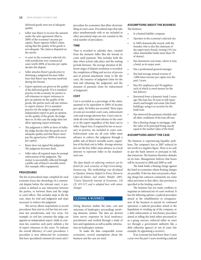delivered goods were not of adequate quality.

- Seller sues Buyer to recover the amount under the sales agreement (that is, 200% of the economy's income per capita). Buyer opposes Seller's claim, saying that the quality of the goods is not adequate. The claim is disputed on the merits.
- A court in the economy's selected city with jurisdiction over commercial cases worth 200% of income per capita decides the dispute.
- Seller attaches Buyer's goods prior to obtaining a judgment because Seller fears that Buyer may become insolvent during the lawsuit.
- Expert opinions are given on the quality of the delivered goods. If it is standard practice in the economy for parties to call witnesses or expert witnesses to give an opinion on the quality of the goods, the parties each call one witness or expert witness. If it is standard practice for the judge to appoint an independent expert to give an opinion on the quality of the goods, the judge does so. In this case the judge does not allow opposing expert testimony.
- The judgment is 100% in favor of Seller: the judge decides that the goods are of adequate quality and that Buyer must pay the agreed price (200% of income per capita).
- Buyer does not appeal the judgment. The judgment becomes final.
- Seller takes all required steps for prompt enforcement of the judgment. The money is successfully collected through a public sale of Buyer's movable assets (for example, office equipment).

#### **PROCEDURES**

The list of procedural steps compiled for each economy traces the chronology of a commercial dispute before the relevant court. A procedure is defined as any interaction between the parties, or between them and the judge or court officer. This includes steps to file the case, steps for trial and judgment and steps necessary to enforce the judgment.

The survey allows respondents to record procedures that exist in civil law but not common law jurisdictions, and vice versa. For example, in civil law countries the judge can appoint an independent expert, while in common law countries each party submits a list of expert witnesses to the court. To indicate the overall efficiency of court procedures, 1 procedure is now subtracted for economies that have specialized commercial courts and 1

procedure for economies that allow electronic filing of court cases. Procedural steps that take place simultaneously with or are included in other procedural steps are not counted in the total number of procedures.

#### **TIME**

Time is recorded in calendar days, counted from the moment Seller files the lawsuit in court until payment. This includes both the days when actions take place and the waiting periods between. The average duration of different stages of dispute resolution is recorded: the completion of filing and service of process and of pretrial attachment (time to file the case), the issuance of judgment (time for the trial and obtaining the judgment) and the moment of payment (time for enforcement of judgment).

#### **COST**

Cost is recorded as a percentage of the claim, assumed to be equivalent to 200% of income per capita. No bribes are recorded. Three types of costs are recorded: court costs, enforcement costs and average attorney fees. Court costs include all costs Seller must advance to the court or to the expert regardless of the final cost to Seller. Expert fees, if required by law or necessary in practice, are included in court costs. Enforcement costs are all costs Seller must advance to enforce the judgment through a public sale of Buyer's movable assets, regardless of the final cost to Seller. Average attorney fees are the fees Seller must advance to a local attorney to represent Seller in the standardized case.

*The data details on enforcing contracts can be found for each economy at http://www.doingbusiness.org. This methodology was developed in Djankov, Simeon, Rafael La Porta, Florencio López-de-Silanes and Andrei Shleifer. 2003. "Courts."Quarterly Journal of Economics 118 (2): 453-517; and is adopted here with minor changes.*

### **CLOSING A BUSINESS**

Doing Business studies the time, cost and outcomes of bankruptcy proceedings involving domestic entities. The data are derived from survey responses by local insolvency practitioners and verified through a study of laws and regulations as well as public information on bankruptcy systems.

To make the data comparable across economies, several assumptions about the business and the case are used.

#### **ASSUMPTIONS ABOUT THE BUSINESS**

The business:

- Is a limited liability company.
- Operates in the economy's selected city.
- Is 100% domestically owned, with the founder, who is also the chairman of the supervisory board, owning 51% (no other shareholder holds more than 5% of shares).
- Has downtown real estate, where it runs a hotel, as its major asset.
- Has a professional general manager.
- Has had average annual revenue of 1,000 times income per capita over the past 3 years.
- Has 201 employees and 50 suppliers, each of which is owed money for the last delivery.
- Borrowed from a domestic bank 5 years ago (the loan has 10 years to full repayment) and bought real estate (the hotel building), using it as security for the bank loan.
- Has observed the payment schedule and all other conditions of the loan till now.
- Has a floating charge or mortgage, with the value of its principal being exactly equal to the market value of the hotel.

#### **ASSUMPTIONS ABOUT THE CASE**

The business is experiencing liquidity problems. The company's loss in 2007 reduced its net worth to a negative figure. There is no cash to pay the bank interest or principal in full, due tomorrow. The business therefore defaults on its loan. Management believes that losses will be incurred in 2008 and 2009 as well.

The bank holds a floating charge against the hotel in economies where floating charges are possible. If the law does not permit a floating charge but contracts commonly use some other provision to that effect, this provision is specified in the lending contract.

The business has too many creditors to negotiate an informal out-of-court workout. It has the following options: a judicial procedure aimed at the rehabilitation or reorganization of the business to permit its continued operation; a judicial procedure aimed at the liquidation or winding-up of the company; or a debt enforcement or foreclosure procedure aimed at selling the hotel either piecemeal or as a going concern, enforced either in court (or through a government authority like a debt collection agency) or out of court (for example, by appointing a receiver).

If an economy has had fewer than 5 cases a year over the past 5 years involving a judicial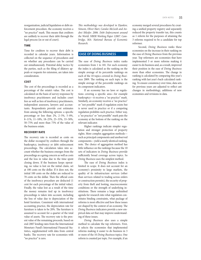reorganization, judicial liquidation or debt enforcement procedure, the economy receives a "no practice" mark. This means that creditors are unlikely to recover their debt through the legal process (in or out of court).

#### **TIME**

Time for creditors to recover their debt is recorded in calendar years. Information is collected on the sequence of procedures and on whether any procedures can be carried out simultaneously. Potential delay tactics by the parties, such as the filing of dilatory appeals or requests for extension, are taken into consideration.

#### **COST**

The cost of the proceedings is recorded as a percentage of the estate's value. The cost is calculated on the basis of survey responses by insolvency practitioners and includes court fees as well as fees of insolvency practitioners, independent assessors, lawyers and accountants. Respondents provide cost estimates from among the following options: a specific percentage or less than 2%, 2–5%, 5–8%, 8–11%, 11–18%, 18–25%, 25–33%, 33–50%, 50–75% and more than 75% of the value of the business estate.

#### **RECOVERY RATE**

The recovery rate is recorded as cents on the dollar recouped by creditors through the bankruptcy, insolvency or debt enforcement proceedings. The calculation takes into account whether the business emerges from the proceedings as a going concern as well as costs and the loss in value due to the time spent closing down. If the business keeps operating, no value is lost on the initial claim, set at 100 cents on the dollar. If it does not, the initial 100 cents on the dollar are reduced to 70 cents on the dollar. Then the official costs of the insolvency procedure are deducted (1 cent for each percentage of the initial value). Finally, the value lost as a result of the time the money remains tied up in insolvency proceedings is taken into account, including the loss of value due to depreciation of the hotel furniture. Consistent with international accounting practice, the depreciation rate for furniture is taken to be 20%. The furniture is assumed to account for a quarter of the total value of assets. The recovery rate is the present value of the remaining proceeds, based on end-2007 lending rates from the International Monetary Fund's International Financial Statistics, supplemented with data from central banks. The recovery rate for economies with "no practice" is zero.

*This methodology was developed in Djankov, Simeon, Oliver Hart, Caralee McLiesh and Andrei Shleifer. 2006. Debt Enforcement around the World. NBER Working Paper 12807. Cambridge, MA: National Bureau of Economic Research.* 

#### **EASE OF DOING BUSINESS**

The ease of Doing Business index ranks economies from 1 to 181. For each economy the index is calculated as the ranking on the simple average of its percentile rankings on each of the 10 topics covered in Doing Business 2009. The ranking on each topic is the simple average of the percentile rankings on its component indicators.

If an economy has no laws or regulations covering a specific area—for example bankruptcy—it receives a "no practice" mark. Similarly, an economy receives a "no practice" or "not possible" mark if regulation exists but is never used in practice or if a competing regulation prohibits such practice. Either way, a "no practice" or "not possible" mark puts the economy at the bottom of the ranking on the relevant indicator.

Higher rankings indicate simpler regulation and stronger protection of property rights. More complex aggregation methods such as principal components and unobserved components—yield a nearly identical ranking. note. The choice of aggregation method has little influence on the rankings because the 10 sets of indicators in Doing Business provide sufficiently broad coverage across topics. So Doing Business uses the simplest method.

The ease of Doing Business index is limited in scope. It does not account for an economy's proximity to large markets, the quality of its infrastructure services (other than services related to trading across orders or construction permits), the security of property from theft and looting, macroeconomic conditions or the strength of underlying institutions. There remains a large unfinished agenda for research into what regulation constitutes binding constraints, what package of reforms is most effective and how these issues are shaped by the context of an economy. The Doing Business indicators provide a new empirical data set that may improve understanding of these issues.

Doing Business also uses a simple method to calculate the top reformers. First, it selects the economies that implemented reforms making it easier to do business in 3 or more of the 10 Doing Business topics. One reform is counted per topic. For example, if an economy merged several procedures by creating a unified property registry and separately reduced the property transfer tax, this counts as 1 reform for the purposes of attaining the 3 reforms required to be a candidate for top reformer.

Second, Doing Business ranks these economies on the increase in their ranking on the ease of Doing Business from the previous year. Top reformers are economies that have implemented 3 or more reforms making it easier to do business and, as a result, improved their position in the ease of Doing Business more than other economies. The change in ranking is calculated by comparing this year's ranking with last year's back-calculated ranking. To ensure consistency over time, data sets for previous years are adjusted to reflect ant changes in methodology, additions of new economies and revisions in data.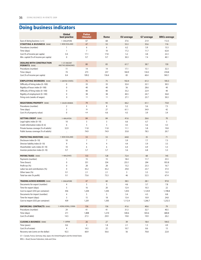## **Doing business indicators**

|                                                           | Global                              | <b>Padua</b>   |                |                   |            | <b>BRICs average</b> |
|-----------------------------------------------------------|-------------------------------------|----------------|----------------|-------------------|------------|----------------------|
|                                                           | best practice                       | (Veneto)       | Rome           | <b>EU</b> average | G7 average |                      |
| Ease of doing business (rank)                             | 1-SINGAPORE                         | 67             | 68             | 37.6              | 21.9       | 112.5                |
| <b>STARTING A BUSINESS (RANK)</b>                         | 1-NEW ZEALAND                       | 47             | 53             | 55.3              | 35.6       | 116                  |
| Procedures (number)                                       | $\mathbf{1}$                        | 6              | 6              | 6.2               | 5.9        | 13.3                 |
| Time (days)                                               | $\mathbf{1}$                        | $\overline{7}$ | 10             | 17.2              | 11.7       | 62.8                 |
| Cost (% of income per capita)                             | 0.4                                 | 17.1           | 17.8           | 5.2               | 4.8        | 22.3                 |
| Min. capital (% of income per capita)                     | $\mathbf 0$                         | 9.7            | 9.7            | 30.3              | 7.4        | 40.1                 |
| <b>DEALING WITH CONSTRUCTION</b><br><b>PERMITS (RANK)</b> | 1-ST. VINCENT<br>AND THE GRENADINES | 80             | 83             | 61.7              | 38.7       | 150                  |
| Procedures (number)                                       | 11                                  | 14             | 14             | 17.1              | 15.1       | 32.3                 |
| Time (days)                                               | 74                                  | 273            | 257            | 184.9             | 134.3      | 418.8                |
| Cost (% of income per capita)                             | 8.4                                 | 109.2          | 136.4          | 83                | 60.4       | 943.1                |
| <b>EMPLOYING WORKERS (RANK)</b>                           | 1-UNITED STATES                     | 75             | 75             | 102.4             | 61.3       | 105.5                |
| Difficulty of hiring index (0-100)                        | 0                                   | 33             | 33             | 32.4              | 22.1       | 30.5                 |
| Rigidity of hours index (0-100)                           | 0                                   | 40             | 40             | 56                | 28.6       | 40                   |
| Difficulty of firing index (0-100)                        | $\pmb{0}$                           | 40             | 40             | 33.2              | 22.9       | 40                   |
| Rigidity of employment (0-100)                            | $\mathbf 0$                         | 38             | 38             | 40.5              | 24.7       | 36.8                 |
| Firing costs (weeks of wages)                             | $\pmb{0}$                           | 11             | 11             | 27.1              | 23.7       | 50.3                 |
| <b>REGISTERING PROPERTY (RANK)</b>                        | 1-SAUDI ARABIA                      | 79             | 93             | 66.2              | 61.1       | 73.8                 |
| Procedures (number)                                       | $\overline{2}$                      | $\,8\,$        | 8              | 5.2               | 5.6        | 7.5                  |
| Time (days)                                               | $\overline{2}$                      | 19             | 27             | 61.1              | 34.9       | 42                   |
| Cost (% of property value)                                | $\mathbf 0$                         | 4.4            | 4.6            | 4.5               | 3.9        | 3.4                  |
| <b>GETTING CREDIT (RANK)</b>                              | 1-MALAYSIA                          | 84             | 84             | 41.6              | 26.6       | 70                   |
| Legal rights index (0-10)                                 | 10                                  | 3              | 3              | 6.6               | 6.7        | 5                    |
| Credit information index (0-6)                            | 6                                   | 5              | 5              | 4.5               | 5.6        | 4.3                  |
| Private bureau coveage (% of adults)                      | 52.9                                | 11.8           | 11.8           | 11.1              | 5.8        | 19.8                 |
| Public bureau coverage (% of adults)                      | $\cdot\cdot$                        | 74.9           | 74.9           | 35.8              | 78.5       | 20.7                 |
| <b>PROTECTING INVESTORS (RANK)</b>                        | 1-NEW ZEALAND                       | 53             | 53             | 64.8              | 35         | 71                   |
| Disclosure index (0-10)                                   | 10                                  | $\overline{7}$ | $\overline{7}$ | 5.9               | 7.7        | 7.3                  |
| Director liability index (0-10)                           | 9                                   | $\overline{4}$ | $\overline{4}$ | 4.4               | 5.9        | 3.5                  |
| Shareholder suits index (0-10)                            | 10                                  | 6              | 6              | 6.4               | 6.9        | 5.3                  |
| Investor protection index (0-10)                          | 9.7                                 | 5.7            | 5.7            | 5.6               | 6.8        | 5.3                  |
| <b>PAYING TAXES (RANK)</b>                                | 1-MALDIVES                          | 133            | 128            | 72.4              | 68         | 145                  |
| Payments (number)                                         | $\mathbf{1}$                        | 15             | 15             | 18.4              | 11.7       | 25.5                 |
| Time (hours)                                              | 0                                   | 351            | 334            | 253.1             | 204        | 955.8                |
| Profit tax (%)                                            | 0                                   | 28             | 28             | 13.2              | 23.3       | 16.7                 |
| Labor tax and contributions (%)                           | $\mathbf 0$                         | 43.2           | 43.2           | 29.8              | 23.7       | 37.4                 |
| Other taxes (%)                                           | 9.1                                 | 2.1            | 2.1            | 3                 | 5.5        | 13.3                 |
| Total tax rate (% profit)                                 | 9.1                                 | 73.6           | 73.3           | 46                | 52.5       | 67.4                 |
| <b>TRADING ACROSS BORDERS (RANK)</b>                      | 1-SINGAPORE                         | 47             | 60             | 38.5              | 28.1       | 97.8                 |
| Documents for export (number)                             | $\overline{4}$                      | 5              | 5              | 4.6               | 3.7        | 7.8                  |
| Time for export (days)                                    | 5                                   | 16             | 20             | 12.4              | 10.3       | 22                   |
| Cost to export (US\$ per container)                       | 456                                 | 1,204          | 1,305          | 1,053             | 1,124.9    | 1,198.8              |
| Documents for import (number)                             | $\overline{4}$                      | 5              | 5              | 5.4               | 4.3        | 8.8                  |
| Time for import (days)                                    | 3                                   | 15             | 18             | 13.4              | 10.9       | 24.8                 |
| Cost to import (US\$ per container)                       | 439                                 | 1,201          | 1,305          | 1,112.4           | 1,266.7    | 1,232.5              |
| <b>ENFORCING CONTRACTS (RANK)</b>                         | 1-HONG KONG, CHINA                  | 156            | 156            | 41.6              | 40.6       | 79                   |
| Procedures (number)                                       | 24                                  | 41             | 41             | 31.3              | 32.7       | 40.5                 |
| Time (days)                                               | 211                                 | 1,808          | 1,210          | 540.6             | 503.6      | 680.8                |
| Cost (% of debt)                                          | 14.5                                | 27.3           | 29.9           | 19.8              | 19.9       | 20.2                 |
| <b>CLOSING A BUSINESS (RANK)</b>                          | 1-JAPAN                             | 26             | 27             | 39                | 18.4       | 104.5                |
| Time (years)                                              | 0.6                                 | $\overline{2}$ | 1.8            | 2.1               | 1.3        | 4.9                  |
| Cost (% of estate)                                        | 4                                   | 14.5           | 22             | 10.7              | 8.6        | 13                   |
| Recovery rate (cents on the dollar)                       | 92.5                                | 60.9           | 56.6           | 56                | 70.8       | 22.8                 |

G7 = Canada, France, Germany, Italy, Japan, the United Kingdom and the United States

BRICs = Brazil, Russian Federation, India and China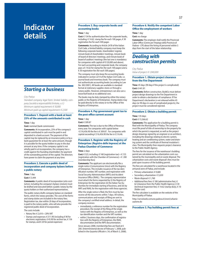# **Indicator details**

### *Starting a business*

#### City: Padua

Standard company legal form: limited liability company (società a responsabilità limitata, s.r.l.) Minimum capital requirement: € 10,000 Minimum paid-up capital requirement: € 2,500

#### **Procedure 1. Deposit with a bank at least 25% of the amounts contributed in cash**

**Time:** 1 day

**Cost:** nominal (bank commission)

**Comments:** At incorporation, 25% of the company's capital contributed in cash must be paid in and deposited in a bank account. The payment of the capital may be replaced by an insurance policy or by a bank guarantee for at least the same amount, though it is possible for the quota holders to pay in the due amount at any time. If the company capital is not wholly paid in at incorporation, the company has a credit against the founding shareholders for payment of the outstanding portion of the capital. The directors have power to claim the payment at any time.

#### **Procedure 2. Execute a public deed of incorporation and company bylaws before a public notary**

**Time:** 1 day

#### **Cost:** € 3,444

**Comments:** A public deed of incorporation (atto costitutivo), including the company's bylaws (statuto) must be drafted and executed before a public notary by the quota holders or their authorized representatives.

The public notary drafts company bylaws on standard forms, which the notary provides. The cost of the forms and stamp duties are included in the notary fees. Registration tax, due within 20 days of incorporation, is paid to the notary public, who will also provide the registered public deed of incorporation.

The costs include:

- $\cdot$  Notary fee:  $\in$  2,610 + 20% VAT
- Stamps and expenses: € 311.90 (including  $€$  90 for electronic registration, € 45.90 for archive tax, € 156 for stamps, and € 20 for postal expenses)

#### **Procedure 3. Buy corporate books and accounting books**

#### **Time:** 1 day

**Cost:** € 134 for authentication fees for corporate books, including: € 14.62. stamp fee for each 100 pages, € 30 registration fee for each 500 pages

**Comments:** According to Article 2478 of the Italian Civil Code, a limited liability company must keep the following corporate books: shareholders' register, minute book of shareholders' meetings, minute book of board of directors' meetings, and minute book of board of auditors' meetings (the last one is mandatory for companies with capital of €120,000 and above). For each accounting and corporate book, the company pays a € 14.62 for stamp fee (for each 100 pages) and a € 30 registration fee (for each 500 pages).

The company must also keep the accounting books indicated in section 2214 of the Italian Civil Code, i.e. journal book and inventory book. The company must not authenticate accounting books (according to Law No. 383/2001). All books are available in standard format at stationary supplies stores or through a notary public. However, entrepreneurs can also use a loose-leaf book at no additional cost.

The books may be duly stamped by either the notary public or the Registry of Enterprises. Stamp duties may be paid directly to the notary or to the Office of the Registry of Enterprises.

#### **Procedure 4. Pay government grant tax to the post office current account**

#### **Time:** 1 day

**Cost:** € 309.87

**Comments:** The tax is due to the Office of Revenue every year. For companies with capital below € 516,456.90 the fee is € 309.87. For companies with capital exceeding € 516,456.90 the fee is € 516.46.

#### **Procedure 5. Register with the Registry of Enterprises (***Registro delle Imprese***) at the Padua Chamber of Commerce**

#### **Time:** 2 days

**Cost:** € 523, including: € 168 (registration tax) + € 155 (registration with the Chamber of Commerce) +  $\epsilon$  200 (membership fees)

**Comments:** The applicant can electronically file a single notice (Comunicazione Unica) with the Registry of Enterprises. This includes issuance of the tax identification number, VAT number, and registration with Social Security Administration (INPS) and Accident Insurance Office (INAIL). The company representative must attach the forms requested by (i) the Registry of Enterprises for the registration (ii) the Italian Tax Authorities for immediate starting of business, and (iii) by INPS and INAIL for the registration with these agencies.

After the single notice is filed, the firm must by law receive all the documents within 7 days. All notices, communications and receipts of filing are sent to the company's certified email address. In detail, the company receives:

- immediately, a reference number for the registration procedure, the receipt of the filing of the single notice with the Registry of Enterprises, as well as the tax identification number and the VAT number;
- within 2 business days, the confirmation of registration with the Registry of Enterprises, the INAIL documentation and the INPS documentation.

Since January 2008, membership fees are fixed at € 200. (Interministerial decree of February 1, 2008, published in the Gazzetta Ufficiale n. 54, of March 3, 2008).

#### **Procedure 6. Notify the competent Labor Office the employment of workers**

**Time:** 1 day

#### **Cost:** no charge

**Comments:** The employer shall notify the Provincial Labor Office (Centro per l'Impiego della Provincia di Padova - CPI) about the hiring of personnel within 5 days from the start of the labor relationship.

### *Dealing with construction permits*

City: Padua Value of project: € 1,040,000

#### **Procedure 1. Obtain project clearance from the Fire Department**

**Time:** 45 days (90 days if the project is complicated) **Cost:** € 441.81

**Comments:** Before construction, BuildCo must deliver project design drawings to the Fire Department in order to obtain a declaration of compliance. If Fire Department's declaration is not released within 45 days (or 90 days in case of complicated projects), the project must be considered rejected.

#### **Procedure 2. Obtain a building permit**

#### **Time:** 135 days

**Cost:** € 15,366.62

**Comments:** The application for a building permit is filed with the Municipalilty of Padua. The company must file proof of title of ownership to the property for which the permit is requested, as well as the project design drawings signed by an engineer or an architect, including the drawings relating to electric system, heating and air conditioning system, water and draining system and the certificate of thermal insulation's class. The Municipality then requests project clearance to the Public Health Agency.

The fees for the issuance of the warehouse's building permit are calculated on the urbanization costs sustained by the municipality and on waste disposal. The urbanization costs and waste disposal's fees must be paid upon issuance of the building permit.

The fees are calculated for a warehouse located in the artisanal zone of Padua, and include:

- Primary urbanization:  $\in$  9,680
- Secondary urbanization: €3,630
- Waste disposal:  $61,760$
- Additional fees fees:  $\in$  180 (administrative fee),  $\in$ 62 (clearance from the Public Health Agency), € 30 (technical inspection fee), € 14.62 (stamp duty), € 10 (folder cost)

The fee calculator is available on the website of the Municipality of Padua:

http://serviziweb.comune.padova.it/oneri/urbanizzazione do

**Procedure 3. Pay building permit fees at**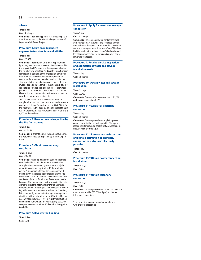#### **a bank**

**Time:** 1 day

**Cost:** No charge

**Comments:** The building permit fees are to be paid at a bank authorized by the Municipal Agency (Cassa di Risparmio di Padova e Rovigo).

#### **Procedure 4. Hire an independent engineer to test structure and utilities**

**Time:** 1 day

**Cost:** € 6,875

**Comments:** The structure tests must be performed by an engineer or an architect not directly involved in the project. BuildCo must hire the engineer who tests the structures no later than 60 days after structures are completed. In addition to the final test on completed structures, the work site director must provide test results for the structural materials used to build the structures. In the case of reinforced concrete, the tests must be done on three samples taken on each day that concrete is poured and on one sample for each steel per file used in structures. The testing is based on per files traction and compression resistance and must be done by an authorized testing lab.

The cost of each test is  $\in$  25. When structures are completed, at least two load tests must be done on the warehouse's floors. The cost of each test is € 2,000. For the warehouse in this case, BuildCo can expect to pay € 875 for the structural lab tests (about 35 in total) and  $\epsilon$ 4,000 for the load tests.

#### **Procedure 5. Receive on-site inspection by the Fire Department**

**Time:** 1 day

**Cost:** € 673.81

**Comments:** In order to obtain the occupancy permit, the warehouse must be inspected by the Fire Department.

#### **Procedure 6. Obtain an occupancy certificate**

**Time:** 30 days

**Cost:** € 14.62

**Comments:** Within 15 days of the building's completion, the builder should file with the Municipality an application for occupancy certificate and: a) the request for cadastral registration; b) the work site director's statement attesting the compliance of the building with the project's specifications; c) the Fire Department's authorization or prevention set on fire's certificate; d) the conformity certificate issued by the Regional Office or approved by the Municipality; e) the work site director's statement (or the trained technician's statement) attesting the compliance of the building with measures to overcome architectural barriers; f) the conformity statement attesting the compliance of utilities with specifications of the Ministerial Decree n. 37/2008 and Law n. 311/07; g) registry certification of municipal numeration. The Municipality issues the occupancy certificate within 30 days after the application is filed.

**Procedure 7. Register the building** 

**Time:** 5 days **Cost:** € 210

#### **Procedure 8. Apply for water and sewage connection**

**Time:** 1 day

#### **Cost:** No charge

**Comments:** The company should contact the local authority to obtain the water and sewerage connection. In Padua, the agency responsible for provision of water and sewage connections is AceGas APS Padova. BuildCo has to address to AceGas APS Padova two different applications: one for water and another one for sewerage connection.

#### **Procedure 9. Receive on-site inspection and estimation of water and sewage installation costs**

**Time:** 1 day **Cost:** No charge

#### **Procedure 10. Obtain water and sewage installation**

**Time:** 53 days

**Cost:** € 3,720

**Comments:** The cost of water connection is € 3,600 and sewage connection € 120.

#### **Procedure 11.\* Apply for electricity connection**

**Time:** 1 day

**Cost:** No charge

**Comments:** The company should apply for power connection with the electricity provider. The agency responsible for provision of electricity connections in ENEL Servizio Elettrico S.p.a.

#### **Procedure 12.\* Receive on-site inspection and obtain estimation of electricity connection costs by local electricity provider**

**Time:** 1 day

**Cost:** No charge

#### **Procedure 13.\* Obtain power connection installation**

**Time:** 15 days **Cost:** € 464

#### **Procedure 14.\* Obtain telephone connection**

**Time:** 15 days

**Cost:** € 480

**Comments:** The company should contact the telecommunication provider (TELECOM S.p.a.) to obtain a telephone connection.

\* This procedure can be completed simultaneously with previous procedures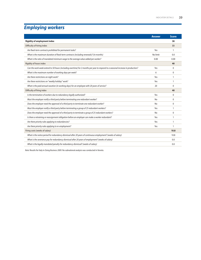## *Employing workers*

|                                                                                                                                  | <b>Answer</b> | <b>Score</b> |
|----------------------------------------------------------------------------------------------------------------------------------|---------------|--------------|
| <b>Rigidity of employment index</b>                                                                                              |               | 38           |
| Difficulty of hiring index                                                                                                       |               | 33           |
| Are fixed-term contracts prohibited for permanent tasks?                                                                         | Yes           | 1            |
| What is the maximum duration of fixed-term contracts (including renewals)? (in months)                                           | No limit      | 0.0          |
| What is the ratio of mandated minimum wage to the average value added per worker?                                                | 0.00          | 0.00         |
| Rigidity of hours index                                                                                                          |               | 40           |
| Can the work week extend to 50 hours (including overtime) for 2 months per year to respond to a seasonal increase in production? | Yes           | $\Omega$     |
| What is the maximum number of working days per week?                                                                             | 6             | $\Omega$     |
| Are there restrictions on night work?                                                                                            | Yes           | 1            |
| Are there restrictions on "weekly holiday" work?                                                                                 | Yes           | 1            |
| What is the paid annual vacation (in working days) for an employee with 20 years of service?                                     | 20            | $\Omega$     |
| Difficulty of firing index                                                                                                       |               | 40           |
| Is the termination of workers due to redundancy legally authorized?                                                              | Yes           | $\Omega$     |
| Must the employer notify a third party before terminating one redundant worker?                                                  | No            | $\Omega$     |
| Does the employer need the approval of a third party to terminate one redundant worker?                                          | No            | 0            |
| Must the employer notify a third party before terminating a group of 25 redundant workers?                                       | Yes           |              |
| Does the employer need the approval of a third party to terminate a group of 25 redundant workers?                               | <b>No</b>     | $\mathbf{0}$ |
| Is there a retraining or reassignment obligation before an employer can make a worker redundant?                                 | Yes           | $\mathbf{1}$ |
| Are there priority rules applying to redundancies?                                                                               | Yes           | 1            |
| Are there priority rules applying to re-employment?                                                                              | Yes           | $\mathbf{1}$ |
| Firing costs (weeks of salary)                                                                                                   |               | 10.8         |
| What is the notice period for redundancy dismissal after 20 years of continuous employment? (weeks of salary)                    |               | 10.8         |
| What is the severance pay for redundancy dismissal after 20 years of employment? (weeks of salary)                               |               | 0.0          |
| What is the legally mandated penalty for redundancy dismissal? (weeks of salary)                                                 |               | 0.0          |
|                                                                                                                                  |               |              |

Note: Results for Italy in Doing Business 2009. No subnational analysis was conducted in Veneto.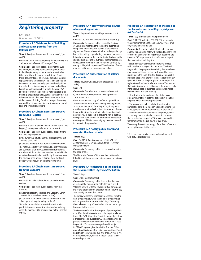### *Registering property*

City: Padua Property value: € 1,293,152

#### **Procedure 1.\* Obtain copies of building and occupancy permits from the Municipality**

**Time:** 9 days (simultaneous with procedures 2, 3, 4 and 5)

**Cost:** € 181.24 (€ 14.62 stamp duty for each survey +  $\epsilon$ 1 administrative fee  $+$   $\in$  150 surveyor's fee)

**Comments:** The notary obtains a copy of the Building Permit, Occupancy Permit and of application(s) for Building Amnesty, if any, from the Municipality. Otherwise, the seller might provide them. Should those documents not be available the seller requests copies from the Municipality. This can be done by an instructed surveyor normally appointed and paid by the seller. It is not necessary to produce the Building Permit for buildings erected prior to the year 1967. Should a copy of such document not be available for buildings erected after that year it is sufficient that the seller mentions in the deed of conveyance the data of the relevant Building Permit, as long as the notary warns of the criminal sanctions which apply in case of false and reticent statements.

#### **Procedure 2.\* Obtain necessary surveys from Land Registry**

**Time:** 5 days (simultaneous with procedures 1, 3, 4 and 5)

**Cost:** € 325 (cost of examination of surveys at the Land Registry), notary fees included in procedure 6

**Comments:** The notary public obtains a report from the Land Registry stating:

(i) the ownership situation of the property in the last twenty years, and

(ii) that the property is free from any encumbrances. The notary needs to verify the Land Registry files (usually by means of an instructed surveyor) and extract the relevant information, that are then included in the report and are certified as truthful by the notary, since the issuance of an actual certificate from the Land Registry would require an extremely long time.

#### **Procedure 3.\* Obtain necessary surveys from the Cadastre**

**Time:** 3 days (simultaneous with procedures 1, 2, 4, and 5)

**Cost:** € 50 for cadastral certificate, other documents are free

**Comments:** The notary public obtains from the Cadastre:

- (i) historical cadastral situation and Cadastral Certificate (€ 50, normally requested online)
- (ii) Cadastral Maps of the premises and maps of the land (general map including the land)

Since the cadastral data are available online it is possible to obtain a cadastral situation immediately, while the maps need to be requested to the Cadastral Offices.

#### **Procedure 4.\* Notary verifies the powers of relevant signatories**

**Time:** 1 day (simultaneous with procedures 1, 2, 3, and 5)

**Cost:** € 17.50 (the fees can range from € 10 to € 30) **Comments:** The notary public checks the Registry of Enterprises regarding the selling and purchasing companies and verifies the powers of the relevant signatories. Should it be required, according to the bylaws of the selling or purchasing company, that a resolution be adopted by the administrative body or by the shareholders' meeting to authorize the transaction, an extract of the minutes of said resolution, certified by a notary public, shall be provided. The Chamber of Commerce's certificate can be requested online.

#### **Procedure 5.\* Authentication of seller's documents**

**Time:** 3 days (simultaneous with procedures 1, 2, 3, and 4)

#### **Cost:** € 10

**Comments:** The seller must provide the buyer with: (i) an authenticated copy of the seller's purchase documents and

(ii) an authenticated copy of the Transcription Note The documents are authenticated by a notary public, at a cost of about € 10. As of July 2006, all payments must be made with check or bank transfer, and the notary must indicate these details (check number, bank account, etc.) in the deed; in the same way in the final deed parties have to indicate all amounts paid to real estate agents. This increases slightly the time needed to complete this procedure.

#### **Procedure 6. A notary public drafts and executes the deed of sale**

#### **Time:** 8 days

**Cost:** € 4,646 (€ 3,610 notary fees + 20% VAT +  $€$ 230 for stamps +  $\in$  84 for archive stamp +  $\in$  90 for transcription tax)

**Comments:** The notary public prepares and executes the deed of sale.

The Ministerial Decree of 21 November 2001 established the minimum fees for notary services at national level.

#### **Procedure 7.\* Registration of the deed at the Revenue Office (***Agenzia delle Entrate***)**

#### **Time:** 2 days

**Cost:** € 168 (registration tax)

**Comments:** The notary public files on line the deed of sale and the transcription note (the file is called "Modello Unico"), with the Revenue Office corresponding to the location of the property, within the 30th day after the signature of the contract.

The notary will receive immediately a receipt with the date of registration, while the number of registration will be given after approximately 2 days. The notary then delivers a copy of the deed of sale and transcription note to the parties.

The Revenue Office has the purpose of granting deeds a certified date (data certa) and collecting the relative taxes. The "VAT Alternative Principle" states that either a property deed is subject to VAT (therefore having to pay the fixed registration tax) or to proportional Deed Registration Tax. As the envisaged deed is subject to 20% VAT, upon registration in the Revenue Office, only a fixed tax is due. Otherwise, a proportional Deed Registration Tax would be due (the ordinary rate is 7% of the consideration, which, in specific cases, can be reduced up to 1%).

#### **Procedure 8.\* Registration of the deed at the Cadastre and Land Registry (***Agenzia del Territorio***)**

**Time:** 1 day (simultaneous with procedure 7) **Cost:** € 51,726, including € 12,932 (3% of property value) for transcription tax and € 38,795 (1% of property value) for cadastral tax

**Comments:** The notary public files the deed of sale and the transcription note with the Land Registry. The copy of the deed with the registration date from the Revenue Office (procedure 7) is sufficient to deposit the deed in the Land Registry.

The Land Registry delivers immediately a receipt with the date and registration numbers. The Land Registry has the purpose of rendering deeds enforceable towards all third parties. Until a deed has been registered in the Land Registry, it is only enforceable between the parties thereto. The Italian Land Registry system is based on the principle of continuity of the registrations (continuità delle trascrizioni). This means that an individual or an entity may sell a property only if the relative deed of purchase has been registered beforehand in the Land Registry.

 Registration at the cadastral office takes place automatically after registering the deed at the Land Registry, which the notary public does.

 The notary also collects all due taxes from the parties and pays them through a bank transfer to the various public administration offices. In the case of a warehouse used for commercial purposes, sold by a company that is not in the construction business the cadastral tax is equal to 1% of sale price, and the transcription tax is equal to 3% of sale price. The notary then delivers a copy of the deed of sale and transcription note to the parties.

\* This procedure can be completed simultaneously with previous procedures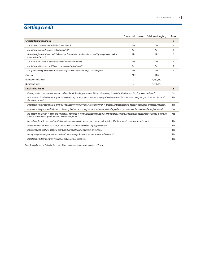## *Getting credit*

|                                                                                                                                                                                                                                   | Private credit bureau | Public credit registry | <b>Score</b> |  |
|-----------------------------------------------------------------------------------------------------------------------------------------------------------------------------------------------------------------------------------|-----------------------|------------------------|--------------|--|
| <b>Credit information index</b>                                                                                                                                                                                                   |                       |                        | 5            |  |
| Are data on both firms and individuals distributed?                                                                                                                                                                               | Yes                   | Yes                    | 1            |  |
| Are both positive and negative data distributed?                                                                                                                                                                                  | Yes                   | Yes                    | 1            |  |
| Does the registry distribute credit information from retailers, trade creditors or utility companies as well as<br>financial institutions?                                                                                        | No                    | No                     | $\Omega$     |  |
| Are more than 2 years of historical credit information distributed?                                                                                                                                                               | Yes                   | Yes                    | 1            |  |
| Are data on all loans below 1% of income per capita distributed?                                                                                                                                                                  | Yes                   | Yes                    | 1            |  |
| Is it quaranteed by law that borrowers can inspect their data in the largest credit registry?                                                                                                                                     | Yes                   | Yes                    | 1            |  |
| Coverage                                                                                                                                                                                                                          | 74.9                  | 11.8                   |              |  |
| Number of individuals                                                                                                                                                                                                             |                       | 4,732,260              |              |  |
| Number of firms                                                                                                                                                                                                                   |                       | 1,280,170              |              |  |
| Legal rights index                                                                                                                                                                                                                |                       |                        | 3            |  |
| Can any business use movable assets as collateral while keeping possession of the assets; and any financial institution accept such assets as collateral?                                                                         |                       |                        |              |  |
| Does the law allow businesses to grant a non possessory security right in a single category of revolving movable assets, without requiring a specific description of<br>the secured assets?                                       |                       |                        |              |  |
| Does the law allow businesses to grant a non possessory security right in substantially all of its assets, without requiring a specific description of the secured assets?                                                        |                       |                        | No           |  |
| May a security right extend to future or after-acquired assets, and may it extend automatically to the products, proceeds or replacements of the original assets?                                                                 |                       |                        | Yes          |  |
| Is a general description of debts and obligations permitted in collateral agreements, so that all types of obligations and debts can be secured by stating a maximum<br>amount rather than a specific amount between the parties? |                       |                        | Yes          |  |
| Is a collateral registry in operation, that is unified geographically and by asset type, as well as indexed by the grantor's name of a security right?                                                                            |                       |                        | No           |  |
| Do secured creditors have absolute priority to their collateral outside bankruptcy procedures?                                                                                                                                    |                       |                        | No           |  |
| Do secured creditors have absolute priority to their collateral in bankruptcy procedures?                                                                                                                                         |                       |                        | No           |  |
| During reorganization, are secured creditors' claims exempt from an automatic stay on enforcement?                                                                                                                                |                       |                        | No           |  |
| Does the law authorize parties to agree on out of court enforcement?                                                                                                                                                              |                       |                        | No           |  |

Note: Results for Italy in Doing Business 2009. No subnational analysis was conducted in Veneto.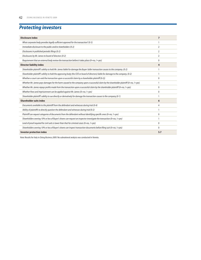## *Protecting investors*

| <b>Disclosure index</b>                                                                                                              | $\overline{7}$ |
|--------------------------------------------------------------------------------------------------------------------------------------|----------------|
| What corporate body provides legally sufficient approval for the transaction? (0-3)                                                  | 1              |
| Immediate disclosure to the public and/or shareholders (0-2)                                                                         | 2              |
| Disclosures in published periodic filings (0-2)                                                                                      | 2              |
| Disclosures by Mr. James to board of directors (0-2)                                                                                 | 2              |
| Requirement that an external body review the transaction before it takes place (0=no, 1=yes)                                         | $\Omega$       |
| <b>Director liability index</b>                                                                                                      | 4              |
| Shareholder plaintiff's ability to hold Mr. James liable for damage the Buyer-Seller transaction causes to the company. (0-2)        |                |
| Shareholder plaintiff's ability to hold the approving body (the CEO or board of directors) liable for damage to the company. (0-2)   | $\mathbf{1}$   |
| Whether a court can void the transaction upon a successful claim by a shareholder plaintiff (0-2))                                   | 0              |
| Whether Mr. James pays damages for the harm caused to the company upon a successful claim by the shareholder plaintiff (0=no, 1=yes) |                |
| Whether Mr. James repays profits made from the transaction upon a successful claim by the shareholder plaintiff (0=no, 1=yes)        | $\Omega$       |
| Whether fines and imprisonment can be applied against Mr. James (0=no, 1=yes)                                                        | 0              |
| Shareholder plaintiff's ability to sue directly or derivatively for damage the transaction causes to the company (0-1)               |                |
| <b>Shareholder suits index</b>                                                                                                       | 6              |
| Documents available to the plaintiff from the defendant and witnesses during trial (0-4)                                             | 4              |
| Ability of plaintiffs to directly question the defendant and witnesses during trial (0-2)                                            | 1              |
| Plaintiff can request categories of documents from the defendant without identifying specific ones ( $0=$ no, $1=$ yes)              | 0              |
| Shareholders owning 10% or less of Buyer's shares can request an inspector investigate the transaction (0=no, 1=yes)                 | 1              |
| Level of proof required for civil suits is lower than that for criminal cases ( $0=$ no, $1=$ yes)                                   | $\Omega$       |
| Shareholders owning 10% or less of Buyer's shares can inspect transaction documents before filing suit (0=no, 1=yes)                 | $\Omega$       |
| <b>Investor protection index</b>                                                                                                     | 5.7            |

Note: Results for Italy in Doing Business 2009. No subnational analysis was conducted in Veneto.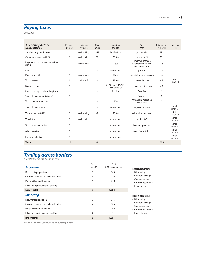### *Paying taxes*

City: Padua

| Tax or mandatory<br>contribution                | Payments<br>(number) | Notes on<br>Payments | Time<br>(hours) | Statutory<br>tax rate                    | Tax<br>base                                                    | Total tax rate<br>(% profit) | Notes on<br><b>TTR</b> |
|-------------------------------------------------|----------------------|----------------------|-----------------|------------------------------------------|----------------------------------------------------------------|------------------------------|------------------------|
| Social security contributions                   | $\mathbf{1}$         | online filing        | 266             | 34.19-39.3%                              | gross salaries                                                 | 43.2                         |                        |
| Corporate income tax (IRES)                     | 1                    | online filing        | 37              | 33.0%                                    | taxable profit                                                 | 20.1                         |                        |
| Regional tax on productive activities<br>(IRAP) | 1                    | online filing        | ٠               | 4.3%                                     | Difference between<br>taxable revenues and<br>deductible costs |                              |                        |
| Fuel tax                                        | $\mathbf{1}$         |                      | $\sim$          | various rates                            | per liter                                                      | 1.1                          |                        |
| Property tax (ICI)                              | $\mathbf{1}$         | online filing        | $\sim$          | 0.7%                                     | cadastral value of property                                    | 1.2                          |                        |
| Tax on interest                                 | $\mathbf{0}$         | withheld             |                 | 27.0%                                    | interest income                                                | 0.7                          | not<br>included        |
| <b>Business license</b>                         | $\mathbf{1}$         |                      |                 | $€ 373 + % of previous$<br>year turnover | previous year turnover                                         | 0.1                          |                        |
| Fixed tax on legal and fiscal registries        | $\mathbf{1}$         |                      | ٠               | <b>EUR 516</b>                           | fixed fee                                                      | 0                            |                        |
| Stamp duty on property transfer                 | $\mathbf{1}$         |                      |                 |                                          | fixed fee                                                      | $\mathbf 0$                  |                        |
| Tax on check transactions                       | 1                    |                      |                 | €74                                      | per account held at an<br>Italian Bank                         | $\mathbf 0$                  |                        |
| Stamp duty on contracts                         | $\mathbf{1}$         |                      |                 | various rates                            | pages of contracts                                             |                              | small<br>amount        |
| Value added tax (VAT)                           | $\mathbf{1}$         | online filing        | 48              | 20.0%                                    | value added and land                                           |                              | not<br>included        |
| Vehicle tax                                     | $\mathbf{1}$         | online filing        | $\sim$          | various rates                            | vehicle KW                                                     |                              | small<br>amount        |
| Tax on insurance contracts                      | $\mathbf{1}$         |                      |                 | various rates                            | insurance premium                                              |                              | small<br>amount        |
| Advertising tax                                 | $\mathbf{1}$         |                      |                 | various rates                            | type of advertising                                            |                              | small<br>amount        |
| Environmental tax                               | $\mathbf{1}$         |                      |                 | various rates                            |                                                                |                              | small<br>amount        |
| Totals:                                         | 15                   |                      | 351             |                                          |                                                                | 73.6                         |                        |

### *Trading across borders*

Padua trading through the Port of Venice

| <b>Exporting</b>                        | Time<br>$(days)*$ | Cost<br>(US\$ per container) |
|-----------------------------------------|-------------------|------------------------------|
| Documents preparation                   | 9                 | 363                          |
| Customs clearance and technical control |                   | 80                           |
| Ports and terminal handling             | 4                 | 240                          |
| Inland transportation and handling      | 2                 | 521                          |
| <b>Export total</b>                     | 16                | 1,204                        |
| <b>Importing</b>                        |                   |                              |
| Documents preparation                   | 9                 | 375                          |
| Customs clearance and technical control | 2                 | 105                          |
| Ports and terminal handling             | 2                 | 200                          |
| Inland transportation and handling      | 2                 | 521                          |
| <b>Import total</b>                     | 15                | 1,201                        |

#### **Export documents**

- of lading
- rtificate of origin
- mmercial invoice
- stoms declaration
- oort license

### **Import documents**

- of lading rtificate of origin
- 
- mmercial invoice
- stoms declaration
- port license

\*for comparison reasons, the figures may be rounded up or down.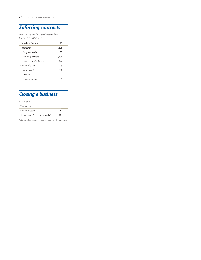# *Enforcing contracts*

÷

Court information: Tribunale Civile di Padova Value of claim: EUR 51,726

| Procedures (number)            | 41    |
|--------------------------------|-------|
| Time (days)                    | 1,808 |
| Filing and service             | 30    |
| Trial and judgment             | 1,406 |
| <b>Enforcement of judgment</b> | 372   |
| Cost (% of claim)              | 27.3  |
| Attorney cost                  | 17.7  |
| Court cost                     | 72    |
| <b>Enforcement cost</b>        | 2.5   |

## *Closing a business*

| City: Padua                         |      |  |
|-------------------------------------|------|--|
| Time (years)                        |      |  |
| Cost (% of estate)                  | 14.5 |  |
| Recovery rate (cents on the dollar) | 60.9 |  |
|                                     |      |  |

Note: For details on the methodology please see the Data Notes.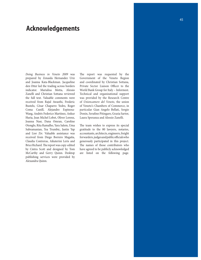### **Acknowledgements**

*Doing Business in Veneto 2009* was prepared by Zenaida Hernandez Uriz and Joanna Kata-Blackman. Jacqueline den Otter led the trading across borders indicator. Marialisa Motta, Alessio Zanelli and Christian Sottana reviewed the full text. Valuable comments were received from Rajul Awasthi, Frederic Bustelo, César Chaparro Yedro, Roger Coma Cunill, Alejandro Espinosa-Wang, Andrés Federico Martínez, Ankur Huria, Jean Michel Lobet, Oliver Lorenz, Joanna Nasr, Dana Omran, Caroline Otonglo, Rita Ramalho, Yara Salem, Uma Subramanian, Tea Trumbic, Justin Yap and Lior Ziv. Valuable assistance was received from Diego Borrero Magaña, Claudia Contreras, Aikaterini Leris and Brice Richard. The report was copy-edited by Cintra Scott and designed by Tom McCarthy and Gerry Quinn. Desktop publishing services were provided by Alexandra Quinn.

The report was requested by the Government of the Veneto Region and coordinated by Christian Sottana, Private Sector Liaison Officer to the World Bank Group for Italy – Informest. Technical and organizational support was provided by the Research Centre of *Unioncamere del Veneto*, the union of Veneto's Chambers of Commerce, in particular Gian Angelo Bellati, Sergio Donin, Serafino Pitingaro, Grazia Sartor, Laura Speranza and Alessio Zanelli.

The team wishes to express its special gratitude to the 80 lawyers, notaries, accountants, architects, engineers, freight forwarders, judges and public officials who generously participated in this project. The names of those contributors who have agreed to be publicly acknowledged are listed on the following page.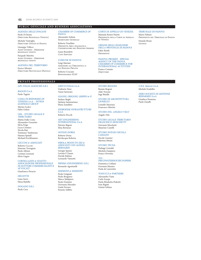#### **PUBLIC OFFICIALS AND BUSINESS ASSOCIATIONS**

### Paolo Di Roma

Direttore Regionale (Veneto) Michele Ventriglia

Direttore Ufficio di Padova Giuseppe Velleca

AUDIT INTERNO - DIREZIONE<br>REGIONALE VENETO regionale veneto Pasquale Marotta

AUDIT INTERNO - DIREZIONE<br>REGIONALE VENETO

AGENZIA DEL TERRITORIO AGENZIA DEL TERRITORIO Enrico Silvestri DIRETTORE PROVINCIALE (PADOVA)

#### **PRIVATE PROFESSIONALS**

#### APL ITALIA AGENCIES S.R.L.

**BAGGIO S.P.A.** Paolo Tagnin

CASSA DI RISPARMIO DI SANPAOLO GROUP Marino Scalco Fabio Gislon

### CBA - STUDIO LEGALE E

ndia di Francia<br>1995 - Mattia Dalla Costa Alessandro Grassetto Silvia Frigo Lucia Comisso Nicola Baù Tommaso Tamburino Hannes Spinell Michael Erschbaumer

Roberto Ceccon Simeone Travagnin Paola Alfonsi Cristian Lorenzin Silvia Gagno

CORTELLAZZO & SOATTO -<br>ASSOCIAZIONE PROFESSIONALE DI DOTTORI COMMERCIALISTI E AVVOCATI ranco Peracin<br>Gianfranco Peracin

Luisa Savio Elena Baliello

Paolo Cera

### CHAMBER OF COMMERCE OF<br>PADUA

Alessandro Selmin Segretario Generale Roberta Tonellato Dirigente Area Anagrafica - Conservatore del Registro Imprese Liana Benedetti

#### **COMUNE DI PADOVA**

Luigi Mariani Assessore all'Urbanistica e all'Edilizia Privata Roberto Cruciato<br>RESPONSABILE SUAP

**GEFCO ITALIA S.P.A.** 

Elena Zanellato

Elisa Bertazzo

**BERNARDI** BERNARDI Giorgio Spanio Lavinia F. Fanan Davide Rubino Leonardo Vannotti

no mare a cruzi.<br>Roberto Doria Bevilacqua Roberta

**NOTAIO DORIA** 

NET ENGINEERING<br>INTERNATIONAL S.P.A. INTERNATIONAL S.p.A. Patrizio Rigoni

**INDROESSE INFRASTRUTTURE** 

PIROLA PENNUTO ZEI &

Bernardo Agostinelli

Paolo Gnignati Paolo Brugnera Marco Malipiero Paolo Dominis Giovanna Murador Linda Ferraro Ernesto Sellitto

**SIMMONS & SIMMONS** 

 $S.P.A.$ Roberto Piccoli

### Manuela Romei Pasetti PRESIDENTE DELLA CORTE DI APPELLO<br>DI VENEZIA

ORDINE DEGLI INGEGNERI<br>DELLA PROVINCIA DI PADOVA Provincia di Papie di Papie di Papie di Papie di Papie di Papie di Papie di Papie di Papie di Papie di Papie d<br>Papie di Papie di Papie di Papie di Papie di Papie di Papie di Papie di Papie di Papie di Papie di Papie di Pa

PADOVA PROMEX - SPECIAL CHAMBER OF COMMERCE FOR INTERNATIONAL ACTIVITIES INTERNATIONAL ACTIVITIES Franco Conzato **DIRETTORE** 

**STUDIO BOGONI** STUDIO BOGONI Renato Bogoni Aldo Travain Inge Binella

### STUDIO DI ARCHITETTURA<br>LIONELLO Lionello Maurizia

Francesco Martini

Angelo Velo

### FRANCESCO MOSCHETTI Giovanni Moschetti Maurizio Castelli

### STUDIO NOTAIO NICOLA<br>CASSANO

Nicola Cassano Martina Menin

STUDIO TECNA Pieluigi Cristaldi Michela Zampiero Franco Noventa

Giovanni Marano Paola de Laurentiis

**U.P.A. SERVIZI S.P.A.** U.P.A. SERVIZI S.P.A. 2.

ZERO SOCIETÀ DI GESTIONE

Gianluca Peonessa Paolo Zanelli

Mario Fabiani Presidente del Tribunale di Padova Daniela Bruni

Umberto Nave Vanni Sartorato GIANNI, ORIGONI, GRIPPO & P. Stefano Beghi Stefania Sammartano

STUDIO LEGALE TRIBUTARIO<br>FRANCESCO MOSCHETTI

**STUDIO TECNA** 

TLS.

PRICEWATERHOUSECOOPERS

Domenico Coldani

#### **TONUCCI & PARTNERS**

Alessandro Vasta Carlo Scarpa Paola Elisabetta Pedretti Ivan Rigatti Gianni Solinas